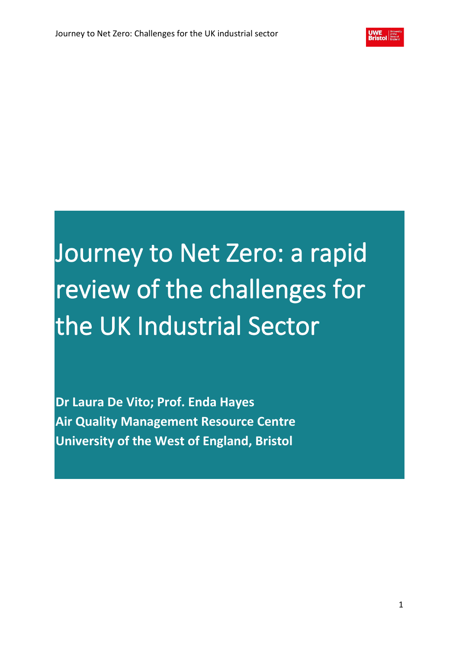# Journey to Net Zero: a rapid review of the challenges for the UK Industrial Sector

**Dr Laura De Vito; Prof. Enda Hayes Air Quality Management Resource Centre University of the West of England, Bristol**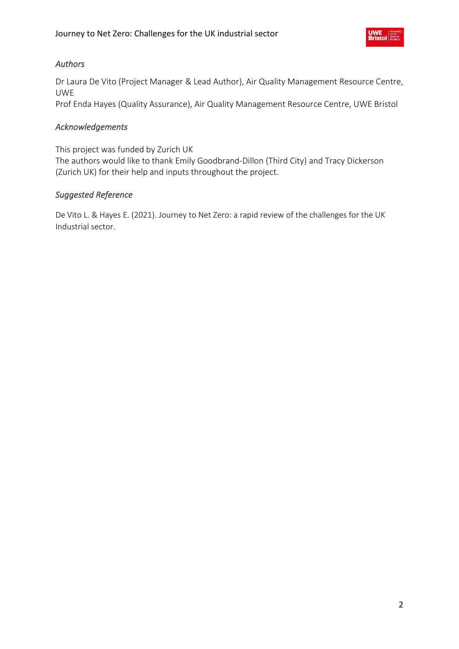# *Authors*

Dr Laura De Vito (Project Manager & Lead Author), Air Quality Management Resource Centre, UWE

Prof Enda Hayes (Quality Assurance), Air Quality Management Resource Centre, UWE Bristol

# *Acknowledgements*

This project was funded by Zurich UK

The authors would like to thank Emily Goodbrand-Dillon (Third City) and Tracy Dickerson (Zurich UK) for their help and inputs throughout the project.

# *Suggested Reference*

De Vito L. & Hayes E. (2021). Journey to Net Zero: a rapid review of the challenges for the UK Industrial sector.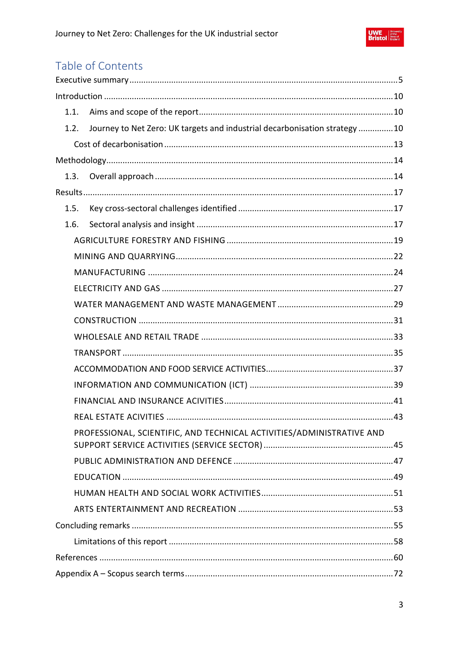

# Table of Contents

| 1.1. |                                                                            |  |
|------|----------------------------------------------------------------------------|--|
| 1.2. | Journey to Net Zero: UK targets and industrial decarbonisation strategy 10 |  |
|      |                                                                            |  |
|      |                                                                            |  |
| 1.3. |                                                                            |  |
|      |                                                                            |  |
| 1.5. |                                                                            |  |
| 1.6. |                                                                            |  |
|      |                                                                            |  |
|      |                                                                            |  |
|      |                                                                            |  |
|      |                                                                            |  |
|      |                                                                            |  |
|      |                                                                            |  |
|      |                                                                            |  |
|      |                                                                            |  |
|      |                                                                            |  |
|      |                                                                            |  |
|      |                                                                            |  |
|      |                                                                            |  |
|      | PROFESSIONAL, SCIENTIFIC, AND TECHNICAL ACTIVITIES/ADMINISTRATIVE AND      |  |
|      |                                                                            |  |
|      |                                                                            |  |
|      |                                                                            |  |
|      |                                                                            |  |
|      |                                                                            |  |
|      |                                                                            |  |
|      |                                                                            |  |
|      |                                                                            |  |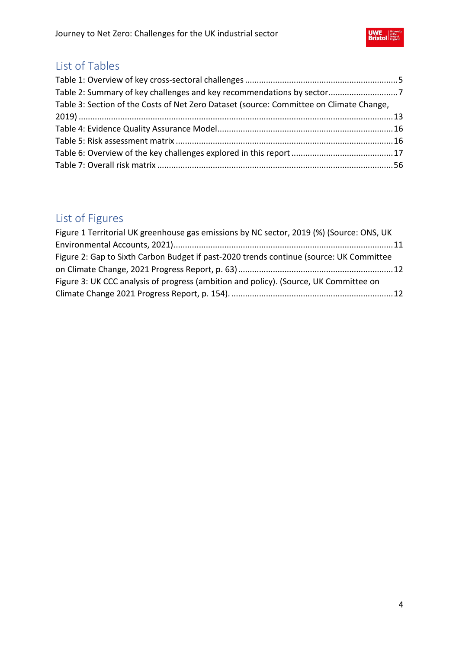

# List of Tables

| Table 2: Summary of key challenges and key recommendations by sector7                   |  |
|-----------------------------------------------------------------------------------------|--|
| Table 3: Section of the Costs of Net Zero Dataset (source: Committee on Climate Change, |  |
|                                                                                         |  |
|                                                                                         |  |
|                                                                                         |  |
|                                                                                         |  |
|                                                                                         |  |

# List of Figures

| Figure 1 Territorial UK greenhouse gas emissions by NC sector, 2019 (%) (Source: ONS, UK |  |
|------------------------------------------------------------------------------------------|--|
|                                                                                          |  |
| Figure 2: Gap to Sixth Carbon Budget if past-2020 trends continue (source: UK Committee  |  |
|                                                                                          |  |
| Figure 3: UK CCC analysis of progress (ambition and policy). (Source, UK Committee on    |  |
|                                                                                          |  |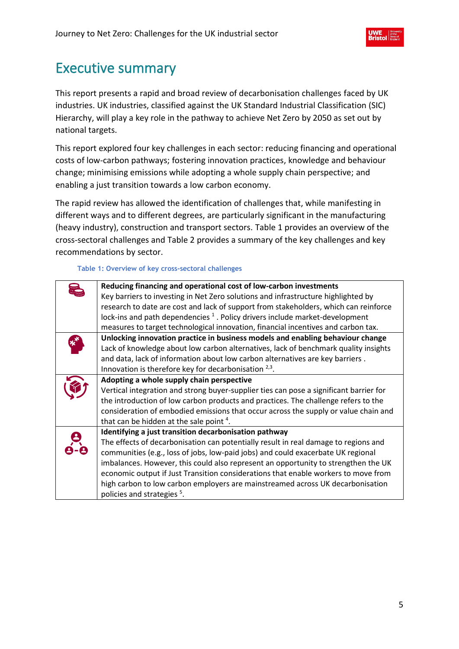# <span id="page-4-0"></span>Executive summary

This report presents a rapid and broad review of decarbonisation challenges faced by UK industries. UK industries, classified against the UK Standard Industrial Classification (SIC) Hierarchy, will play a key role in the pathway to achieve Net Zero by 2050 as set out by national targets.

This report explored four key challenges in each sector: reducing financing and operational costs of low-carbon pathways; fostering innovation practices, knowledge and behaviour change; minimising emissions while adopting a whole supply chain perspective; and enabling a just transition towards a low carbon economy.

The rapid review has allowed the identification of challenges that, while manifesting in different ways and to different degrees, are particularly significant in the manufacturing (heavy industry), construction and transport sectors. [Table 1](#page-4-1) provides an overview of the cross-sectoral challenges and [Table 2](#page-6-0) provides a summary of the key challenges and key recommendations by sector.

#### **Table 1: Overview of key cross-sectoral challenges**

<span id="page-4-1"></span>

| Reducing financing and operational cost of low-carbon investments<br>Key barriers to investing in Net Zero solutions and infrastructure highlighted by<br>research to date are cost and lack of support from stakeholders, which can reinforce<br>lock-ins and path dependencies <sup>1</sup> . Policy drivers include market-development                                                                                                                                                                                                |
|------------------------------------------------------------------------------------------------------------------------------------------------------------------------------------------------------------------------------------------------------------------------------------------------------------------------------------------------------------------------------------------------------------------------------------------------------------------------------------------------------------------------------------------|
| measures to target technological innovation, financial incentives and carbon tax.                                                                                                                                                                                                                                                                                                                                                                                                                                                        |
| Unlocking innovation practice in business models and enabling behaviour change<br>Lack of knowledge about low carbon alternatives, lack of benchmark quality insights<br>and data, lack of information about low carbon alternatives are key barriers.<br>Innovation is therefore key for decarbonisation $2,3$ .                                                                                                                                                                                                                        |
| Adopting a whole supply chain perspective<br>Vertical integration and strong buyer-supplier ties can pose a significant barrier for<br>the introduction of low carbon products and practices. The challenge refers to the<br>consideration of embodied emissions that occur across the supply or value chain and<br>that can be hidden at the sale point 4.                                                                                                                                                                              |
| Identifying a just transition decarbonisation pathway<br>The effects of decarbonisation can potentially result in real damage to regions and<br>communities (e.g., loss of jobs, low-paid jobs) and could exacerbate UK regional<br>imbalances. However, this could also represent an opportunity to strengthen the UK<br>economic output if Just Transition considerations that enable workers to move from<br>high carbon to low carbon employers are mainstreamed across UK decarbonisation<br>policies and strategies <sup>5</sup> . |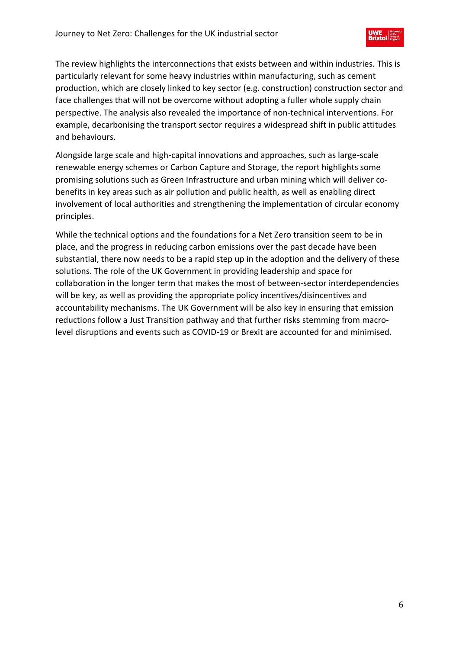The review highlights the interconnections that exists between and within industries. This is particularly relevant for some heavy industries within manufacturing, such as cement production, which are closely linked to key sector (e.g. construction) construction sector and face challenges that will not be overcome without adopting a fuller whole supply chain perspective. The analysis also revealed the importance of non-technical interventions. For example, decarbonising the transport sector requires a widespread shift in public attitudes and behaviours.

Alongside large scale and high-capital innovations and approaches, such as large-scale renewable energy schemes or Carbon Capture and Storage, the report highlights some promising solutions such as Green Infrastructure and urban mining which will deliver cobenefits in key areas such as air pollution and public health, as well as enabling direct involvement of local authorities and strengthening the implementation of circular economy principles.

While the technical options and the foundations for a Net Zero transition seem to be in place, and the progress in reducing carbon emissions over the past decade have been substantial, there now needs to be a rapid step up in the adoption and the delivery of these solutions. The role of the UK Government in providing leadership and space for collaboration in the longer term that makes the most of between-sector interdependencies will be key, as well as providing the appropriate policy incentives/disincentives and accountability mechanisms. The UK Government will be also key in ensuring that emission reductions follow a Just Transition pathway and that further risks stemming from macrolevel disruptions and events such as COVID-19 or Brexit are accounted for and minimised.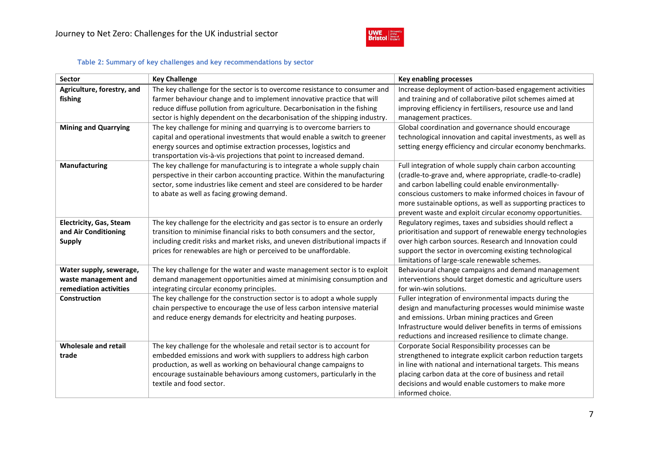

#### **Table 2: Summary of key challenges and key recommendations by sector**

<span id="page-6-0"></span>

| <b>Sector</b>                                                             | <b>Key Challenge</b>                                                                                                                                                                                                                                                                                                   | <b>Key enabling processes</b>                                                                                                                                                                                                                                                                                                                                          |
|---------------------------------------------------------------------------|------------------------------------------------------------------------------------------------------------------------------------------------------------------------------------------------------------------------------------------------------------------------------------------------------------------------|------------------------------------------------------------------------------------------------------------------------------------------------------------------------------------------------------------------------------------------------------------------------------------------------------------------------------------------------------------------------|
| Agriculture, forestry, and<br>fishing                                     | The key challenge for the sector is to overcome resistance to consumer and<br>farmer behaviour change and to implement innovative practice that will<br>reduce diffuse pollution from agriculture. Decarbonisation in the fishing<br>sector is highly dependent on the decarbonisation of the shipping industry.       | Increase deployment of action-based engagement activities<br>and training and of collaborative pilot schemes aimed at<br>improving efficiency in fertilisers, resource use and land<br>management practices.                                                                                                                                                           |
| <b>Mining and Quarrying</b>                                               | The key challenge for mining and quarrying is to overcome barriers to<br>capital and operational investments that would enable a switch to greener<br>energy sources and optimise extraction processes, logistics and<br>transportation vis-à-vis projections that point to increased demand.                          | Global coordination and governance should encourage<br>technological innovation and capital investments, as well as<br>setting energy efficiency and circular economy benchmarks.                                                                                                                                                                                      |
| Manufacturing                                                             | The key challenge for manufacturing is to integrate a whole supply chain<br>perspective in their carbon accounting practice. Within the manufacturing<br>sector, some industries like cement and steel are considered to be harder<br>to abate as well as facing growing demand.                                       | Full integration of whole supply chain carbon accounting<br>(cradle-to-grave and, where appropriate, cradle-to-cradle)<br>and carbon labelling could enable environmentally-<br>conscious customers to make informed choices in favour of<br>more sustainable options, as well as supporting practices to<br>prevent waste and exploit circular economy opportunities. |
| <b>Electricity, Gas, Steam</b><br>and Air Conditioning<br><b>Supply</b>   | The key challenge for the electricity and gas sector is to ensure an orderly<br>transition to minimise financial risks to both consumers and the sector,<br>including credit risks and market risks, and uneven distributional impacts if<br>prices for renewables are high or perceived to be unaffordable.           | Regulatory regimes, taxes and subsidies should reflect a<br>prioritisation and support of renewable energy technologies<br>over high carbon sources. Research and Innovation could<br>support the sector in overcoming existing technological<br>limitations of large-scale renewable schemes.                                                                         |
| Water supply, sewerage,<br>waste management and<br>remediation activities | The key challenge for the water and waste management sector is to exploit<br>demand management opportunities aimed at minimising consumption and<br>integrating circular economy principles.                                                                                                                           | Behavioural change campaigns and demand management<br>interventions should target domestic and agriculture users<br>for win-win solutions.                                                                                                                                                                                                                             |
| <b>Construction</b>                                                       | The key challenge for the construction sector is to adopt a whole supply<br>chain perspective to encourage the use of less carbon intensive material<br>and reduce energy demands for electricity and heating purposes.                                                                                                | Fuller integration of environmental impacts during the<br>design and manufacturing processes would minimise waste<br>and emissions. Urban mining practices and Green<br>Infrastructure would deliver benefits in terms of emissions<br>reductions and increased resilience to climate change.                                                                          |
| <b>Wholesale and retail</b><br>trade                                      | The key challenge for the wholesale and retail sector is to account for<br>embedded emissions and work with suppliers to address high carbon<br>production, as well as working on behavioural change campaigns to<br>encourage sustainable behaviours among customers, particularly in the<br>textile and food sector. | Corporate Social Responsibility processes can be<br>strengthened to integrate explicit carbon reduction targets<br>in line with national and international targets. This means<br>placing carbon data at the core of business and retail<br>decisions and would enable customers to make more<br>informed choice.                                                      |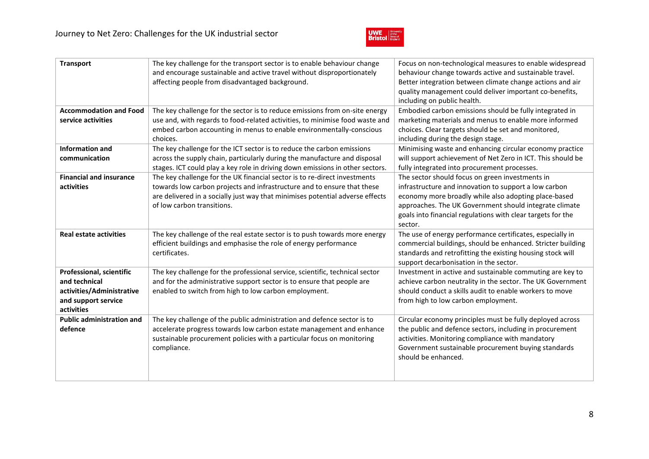

| <b>Transport</b>                                                                                            | The key challenge for the transport sector is to enable behaviour change<br>and encourage sustainable and active travel without disproportionately<br>affecting people from disadvantaged background.                                                               | Focus on non-technological measures to enable widespread<br>behaviour change towards active and sustainable travel.<br>Better integration between climate change actions and air<br>quality management could deliver important co-benefits,<br>including on public health.                           |
|-------------------------------------------------------------------------------------------------------------|---------------------------------------------------------------------------------------------------------------------------------------------------------------------------------------------------------------------------------------------------------------------|------------------------------------------------------------------------------------------------------------------------------------------------------------------------------------------------------------------------------------------------------------------------------------------------------|
| <b>Accommodation and Food</b><br>service activities                                                         | The key challenge for the sector is to reduce emissions from on-site energy<br>use and, with regards to food-related activities, to minimise food waste and<br>embed carbon accounting in menus to enable environmentally-conscious<br>choices.                     | Embodied carbon emissions should be fully integrated in<br>marketing materials and menus to enable more informed<br>choices. Clear targets should be set and monitored,<br>including during the design stage.                                                                                        |
| <b>Information and</b><br>communication                                                                     | The key challenge for the ICT sector is to reduce the carbon emissions<br>across the supply chain, particularly during the manufacture and disposal<br>stages. ICT could play a key role in driving down emissions in other sectors.                                | Minimising waste and enhancing circular economy practice<br>will support achievement of Net Zero in ICT. This should be<br>fully integrated into procurement processes.                                                                                                                              |
| <b>Financial and insurance</b><br>activities                                                                | The key challenge for the UK financial sector is to re-direct investments<br>towards low carbon projects and infrastructure and to ensure that these<br>are delivered in a socially just way that minimises potential adverse effects<br>of low carbon transitions. | The sector should focus on green investments in<br>infrastructure and innovation to support a low carbon<br>economy more broadly while also adopting place-based<br>approaches. The UK Government should integrate climate<br>goals into financial regulations with clear targets for the<br>sector. |
| <b>Real estate activities</b>                                                                               | The key challenge of the real estate sector is to push towards more energy<br>efficient buildings and emphasise the role of energy performance<br>certificates.                                                                                                     | The use of energy performance certificates, especially in<br>commercial buildings, should be enhanced. Stricter building<br>standards and retrofitting the existing housing stock will<br>support decarbonisation in the sector.                                                                     |
| Professional, scientific<br>and technical<br>activities/Administrative<br>and support service<br>activities | The key challenge for the professional service, scientific, technical sector<br>and for the administrative support sector is to ensure that people are<br>enabled to switch from high to low carbon employment.                                                     | Investment in active and sustainable commuting are key to<br>achieve carbon neutrality in the sector. The UK Government<br>should conduct a skills audit to enable workers to move<br>from high to low carbon employment.                                                                            |
| <b>Public administration and</b><br>defence                                                                 | The key challenge of the public administration and defence sector is to<br>accelerate progress towards low carbon estate management and enhance<br>sustainable procurement policies with a particular focus on monitoring<br>compliance.                            | Circular economy principles must be fully deployed across<br>the public and defence sectors, including in procurement<br>activities. Monitoring compliance with mandatory<br>Government sustainable procurement buying standards<br>should be enhanced.                                              |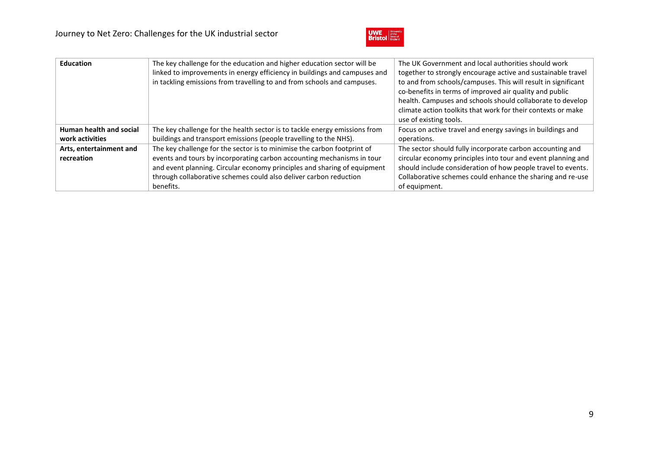

| <b>Education</b>        | The key challenge for the education and higher education sector will be<br>linked to improvements in energy efficiency in buildings and campuses and<br>in tackling emissions from travelling to and from schools and campuses. | The UK Government and local authorities should work<br>together to strongly encourage active and sustainable travel<br>to and from schools/campuses. This will result in significant<br>co-benefits in terms of improved air quality and public<br>health. Campuses and schools should collaborate to develop<br>climate action toolkits that work for their contexts or make<br>use of existing tools. |
|-------------------------|---------------------------------------------------------------------------------------------------------------------------------------------------------------------------------------------------------------------------------|---------------------------------------------------------------------------------------------------------------------------------------------------------------------------------------------------------------------------------------------------------------------------------------------------------------------------------------------------------------------------------------------------------|
| Human health and social | The key challenge for the health sector is to tackle energy emissions from                                                                                                                                                      | Focus on active travel and energy savings in buildings and                                                                                                                                                                                                                                                                                                                                              |
| work activities         | buildings and transport emissions (people travelling to the NHS).                                                                                                                                                               | operations.                                                                                                                                                                                                                                                                                                                                                                                             |
| Arts, entertainment and | The key challenge for the sector is to minimise the carbon footprint of                                                                                                                                                         | The sector should fully incorporate carbon accounting and                                                                                                                                                                                                                                                                                                                                               |
| recreation              | events and tours by incorporating carbon accounting mechanisms in tour                                                                                                                                                          | circular economy principles into tour and event planning and                                                                                                                                                                                                                                                                                                                                            |
|                         | and event planning. Circular economy principles and sharing of equipment                                                                                                                                                        | should include consideration of how people travel to events.                                                                                                                                                                                                                                                                                                                                            |
|                         | through collaborative schemes could also deliver carbon reduction                                                                                                                                                               | Collaborative schemes could enhance the sharing and re-use                                                                                                                                                                                                                                                                                                                                              |
|                         | benefits.                                                                                                                                                                                                                       | of equipment.                                                                                                                                                                                                                                                                                                                                                                                           |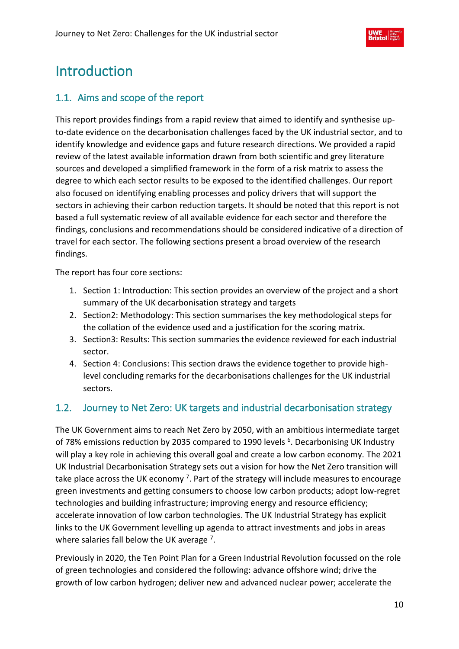# <span id="page-9-0"></span>Introduction

# <span id="page-9-1"></span>1.1. Aims and scope of the report

This report provides findings from a rapid review that aimed to identify and synthesise upto-date evidence on the decarbonisation challenges faced by the UK industrial sector, and to identify knowledge and evidence gaps and future research directions. We provided a rapid review of the latest available information drawn from both scientific and grey literature sources and developed a simplified framework in the form of a risk matrix to assess the degree to which each sector results to be exposed to the identified challenges. Our report also focused on identifying enabling processes and policy drivers that will support the sectors in achieving their carbon reduction targets. It should be noted that this report is not based a full systematic review of all available evidence for each sector and therefore the findings, conclusions and recommendations should be considered indicative of a direction of travel for each sector. The following sections present a broad overview of the research findings.

The report has four core sections:

- 1. Section 1: Introduction: This section provides an overview of the project and a short summary of the UK decarbonisation strategy and targets
- 2. Section2: Methodology: This section summarises the key methodological steps for the collation of the evidence used and a justification for the scoring matrix.
- 3. Section3: Results: This section summaries the evidence reviewed for each industrial sector.
- 4. Section 4: Conclusions: This section draws the evidence together to provide highlevel concluding remarks for the decarbonisations challenges for the UK industrial sectors.

# <span id="page-9-2"></span>1.2. Journey to Net Zero: UK targets and industrial decarbonisation strategy

The UK Government aims to reach Net Zero by 2050, with an ambitious intermediate target of 78% emissions reduction by 2035 compared to 1990 levels <sup>6</sup>. Decarbonising UK Industry will play a key role in achieving this overall goal and create a low carbon economy. The 2021 UK Industrial Decarbonisation Strategy sets out a vision for how the Net Zero transition will take place across the UK economy <sup>7</sup>. Part of the strategy will include measures to encourage green investments and getting consumers to choose low carbon products; adopt low-regret technologies and building infrastructure; improving energy and resource efficiency; accelerate innovation of low carbon technologies. The UK Industrial Strategy has explicit links to the UK Government levelling up agenda to attract investments and jobs in areas where salaries fall below the UK average <sup>7</sup>.

Previously in 2020, the Ten Point Plan for a Green Industrial Revolution focussed on the role of green technologies and considered the following: advance offshore wind; drive the growth of low carbon hydrogen; deliver new and advanced nuclear power; accelerate the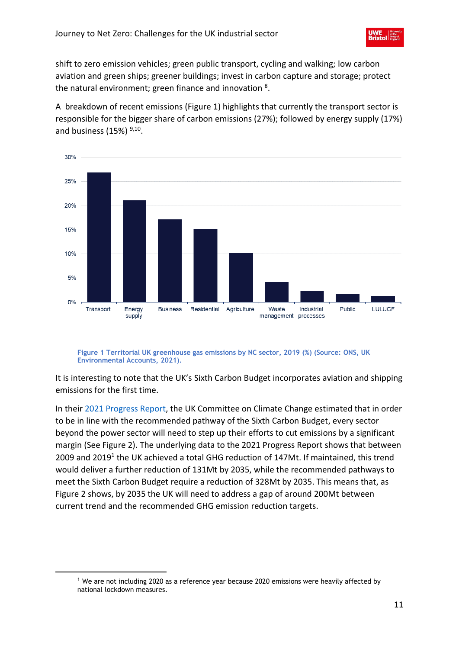shift to zero emission vehicles; green public transport, cycling and walking; low carbon aviation and green ships; greener buildings; invest in carbon capture and storage; protect the natural environment; green finance and innovation <sup>8</sup>.

A breakdown of recent emissions [\(Figure 1\)](#page-10-0) highlights that currently the transport sector is responsible for the bigger share of carbon emissions (27%); followed by energy supply (17%) and business (15%)  $9,10$ .



<span id="page-10-0"></span>**Figure 1 Territorial UK greenhouse gas emissions by NC sector, 2019 (%) (Source: ONS, UK Environmental Accounts, 2021).**

It is interesting to note that the UK's Sixth Carbon Budget incorporates aviation and shipping emissions for the first time.

In their 2021 [Progress Report,](https://www.theccc.org.uk/publication/2021-progress-report-to-parliament/) the UK Committee on Climate Change estimated that in order to be in line with the recommended pathway of the Sixth Carbon Budget, every sector beyond the power sector will need to step up their efforts to cut emissions by a significant margin (See Figure 2). The underlying data to the 2021 Progress Report shows that between 2009 and 2019<sup>1</sup> the UK achieved a total GHG reduction of 147Mt. If maintained, this trend would deliver a further reduction of 131Mt by 2035, while the recommended pathways to meet the Sixth Carbon Budget require a reduction of 328Mt by 2035. This means that, as Figure 2 shows, by 2035 the UK will need to address a gap of around 200Mt between current trend and the recommended GHG emission reduction targets.

<sup>&</sup>lt;sup>1</sup> We are not including 2020 as a reference year because 2020 emissions were heavily affected by national lockdown measures.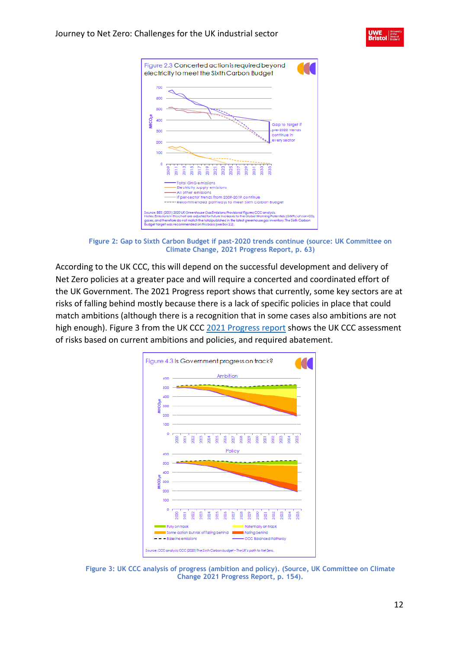



**Figure 2: Gap to Sixth Carbon Budget if past-2020 trends continue (source: UK Committee on Climate Change, 2021 Progress Report, p. 63)**

<span id="page-11-0"></span>According to the UK CCC, this will depend on the successful development and delivery of Net Zero policies at a greater pace and will require a concerted and coordinated effort of the UK Government. The 2021 Progress report shows that currently, some key sectors are at risks of falling behind mostly because there is a lack of specific policies in place that could match ambitions (although there is a recognition that in some cases also ambitions are not high enough). Figure 3 from the UK CCC [2021 Progress report](https://www.theccc.org.uk/publication/2021-progress-report-to-parliament/) shows the UK CCC assessment of risks based on current ambitions and policies, and required abatement.



<span id="page-11-1"></span>**Figure 3: UK CCC analysis of progress (ambition and policy). (Source, UK Committee on Climate Change 2021 Progress Report, p. 154).**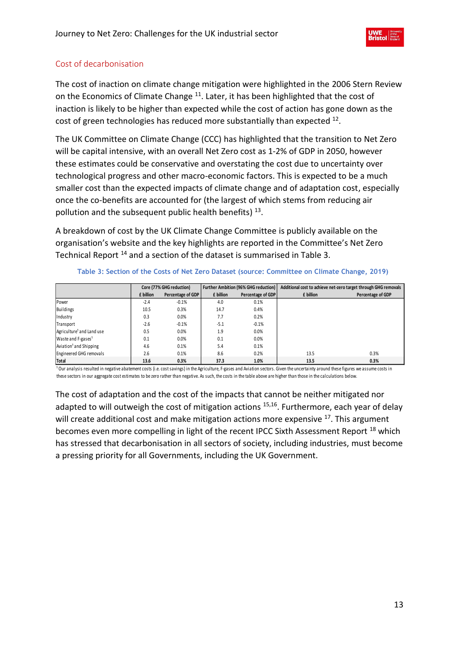# <span id="page-12-0"></span>Cost of decarbonisation

The cost of inaction on climate change mitigation were highlighted in the 2006 Stern Review on the Economics of Climate Change <sup>11</sup>. Later, it has been highlighted that the cost of inaction is likely to be higher than expected while the cost of action has gone down as the cost of green technologies has reduced more substantially than expected  $^{12}$ .

The UK Committee on Climate Change (CCC) has highlighted that the transition to Net Zero will be capital intensive, with an overall Net Zero cost as 1-2% of GDP in 2050, however these estimates could be conservative and overstating the cost due to uncertainty over technological progress and other macro-economic factors. This is expected to be a much smaller cost than the expected impacts of climate change and of adaptation cost, especially once the co-benefits are accounted for (the largest of which stems from reducing air pollution and the subsequent public health benefits) <sup>13</sup>.

A breakdown of cost by the UK Climate Change Committee is publicly available on the organisation's website and the key highlights are reported in the Committee's Net Zero Technical Report <sup>14</sup> and a section of the dataset is summarised in [Table 3.](#page-12-1)

#### **Table 3: Section of the Costs of Net Zero Dataset (source: Committee on Climate Change, 2019)**

<span id="page-12-1"></span>

|                                       |           | Core (77% GHG reduction) |           | <b>Further Ambition (96% GHG reduction)</b> |           | Additional cost to achieve net-zero target through GHG removals |
|---------------------------------------|-----------|--------------------------|-----------|---------------------------------------------|-----------|-----------------------------------------------------------------|
|                                       | £ billion | Percentage of GDP        | £ billion | Percentage of GDP                           | £ billion | Percentage of GDP                                               |
| Power                                 | $-2.4$    | $-0.1%$                  | 4.0       | 0.1%                                        |           |                                                                 |
| Buildings                             | 10.5      | 0.3%                     | 14.7      | 0.4%                                        |           |                                                                 |
| Industry                              | 0.3       | 0.0%                     | 7.7       | 0.2%                                        |           |                                                                 |
| Transport                             | $-2.6$    | $-0.1%$                  | $-5.1$    | $-0.1%$                                     |           |                                                                 |
| Agriculture <sup>1</sup> and Land use | 0.5       | 0.0%                     | 1.9       | 0.0%                                        |           |                                                                 |
| Waste and F-gases <sup>1</sup>        | 0.1       | 0.0%                     | 0.1       | 0.0%                                        |           |                                                                 |
| Aviation <sup>1</sup> and Shipping    | 4.6       | 0.1%                     | 5.4       | 0.1%                                        |           |                                                                 |
| Engineered GHG removals               | 2.6       | 0.1%                     | 8.6       | 0.2%                                        | 13.5      | 0.3%                                                            |
| Total                                 | 13.6      | 0.3%                     | 37.3      | 1.0%                                        | 13.5      | 0.3%                                                            |

<sup>1</sup> Our analysis resulted in negative abatement costs (i.e. cost savings) in the Agriculture, F-gases and Aviation sectors. Given the uncertainty around these figures we assume costs in these sectors in our aggregate cost estimates to be zero rather than negative. As such, the costs in the table above are higher than those in the calculations below.

The cost of adaptation and the cost of the impacts that cannot be neither mitigated nor adapted to will outweigh the cost of mitigation actions <sup>15,16</sup>. Furthermore, each year of delay will create additional cost and make mitigation actions more expensive <sup>17</sup>. This argument becomes even more compelling in light of the recent IPCC Sixth Assessment Report <sup>18</sup> which has stressed that decarbonisation in all sectors of society, including industries, must become a pressing priority for all Governments, including the UK Government.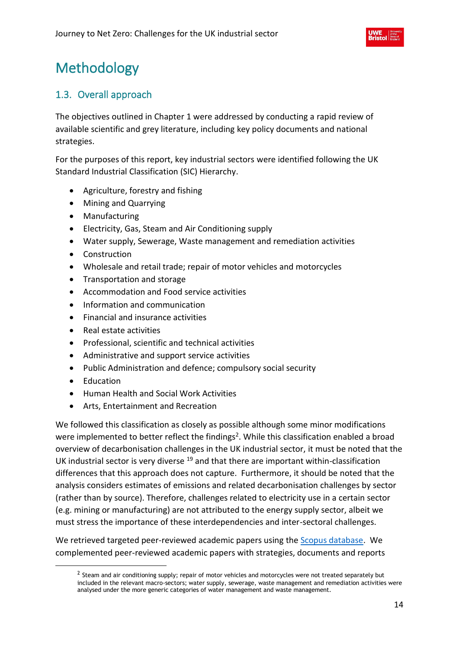# <span id="page-13-0"></span>Methodology

# <span id="page-13-1"></span>1.3. Overall approach

The objectives outlined in Chapter 1 were addressed by conducting a rapid review of available scientific and grey literature, including key policy documents and national strategies.

For the purposes of this report, key industrial sectors were identified following the UK Standard Industrial Classification (SIC) Hierarchy.

- Agriculture, forestry and fishing
- Mining and Quarrying
- Manufacturing
- Electricity, Gas, Steam and Air Conditioning supply
- Water supply, Sewerage, Waste management and remediation activities
- Construction
- Wholesale and retail trade; repair of motor vehicles and motorcycles
- Transportation and storage
- Accommodation and Food service activities
- Information and communication
- Financial and insurance activities
- Real estate activities
- Professional, scientific and technical activities
- Administrative and support service activities
- Public Administration and defence; compulsory social security
- Education
- Human Health and Social Work Activities
- Arts, Entertainment and Recreation

We followed this classification as closely as possible although some minor modifications were implemented to better reflect the findings<sup>2</sup>. While this classification enabled a broad overview of decarbonisation challenges in the UK industrial sector, it must be noted that the UK industrial sector is very diverse <sup>19</sup> and that there are important within-classification differences that this approach does not capture. Furthermore, it should be noted that the analysis considers estimates of emissions and related decarbonisation challenges by sector (rather than by source). Therefore, challenges related to electricity use in a certain sector (e.g. mining or manufacturing) are not attributed to the energy supply sector, albeit we must stress the importance of these interdependencies and inter-sectoral challenges.

We retrieved targeted peer-reviewed academic papers using th[e Scopus database.](https://www.scopus.com/standard/marketing.uri) We complemented peer-reviewed academic papers with strategies, documents and reports

 $^2$  Steam and air conditioning supply; repair of motor vehicles and motorcycles were not treated separately but included in the relevant macro-sectors; water supply, sewerage, waste management and remediation activities were analysed under the more generic categories of water management and waste management.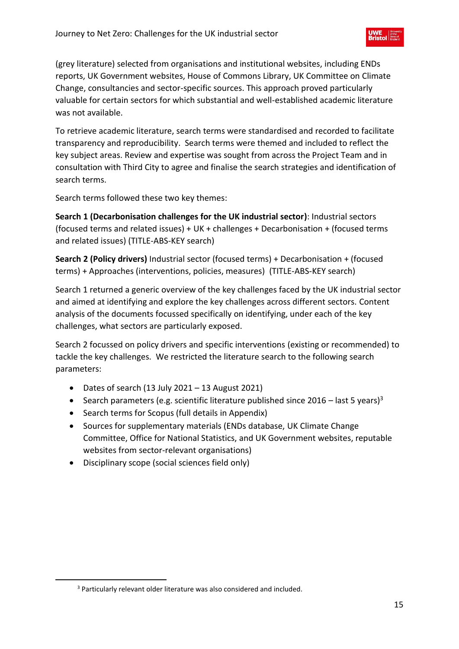(grey literature) selected from organisations and institutional websites, including ENDs reports, UK Government websites, House of Commons Library, UK Committee on Climate Change, consultancies and sector-specific sources. This approach proved particularly valuable for certain sectors for which substantial and well-established academic literature was not available.

To retrieve academic literature, search terms were standardised and recorded to facilitate transparency and reproducibility. Search terms were themed and included to reflect the key subject areas. Review and expertise was sought from across the Project Team and in consultation with Third City to agree and finalise the search strategies and identification of search terms.

Search terms followed these two key themes:

**Search 1 (Decarbonisation challenges for the UK industrial sector)**: Industrial sectors (focused terms and related issues) + UK + challenges + Decarbonisation + (focused terms and related issues) (TITLE-ABS-KEY search)

**Search 2 (Policy drivers)** Industrial sector (focused terms) + Decarbonisation + (focused terms) + Approaches (interventions, policies, measures) (TITLE-ABS-KEY search)

Search 1 returned a generic overview of the key challenges faced by the UK industrial sector and aimed at identifying and explore the key challenges across different sectors. Content analysis of the documents focussed specifically on identifying, under each of the key challenges, what sectors are particularly exposed.

Search 2 focussed on policy drivers and specific interventions (existing or recommended) to tackle the key challenges. We restricted the literature search to the following search parameters:

- Dates of search (13 July 2021 13 August 2021)
- Search parameters (e.g. scientific literature published since 2016 last 5 years)<sup>3</sup>
- Search terms for Scopus (full details in Appendix)
- Sources for supplementary materials (ENDs database, UK Climate Change Committee, Office for National Statistics, and UK Government websites, reputable websites from sector-relevant organisations)
- Disciplinary scope (social sciences field only)

<sup>3</sup> Particularly relevant older literature was also considered and included.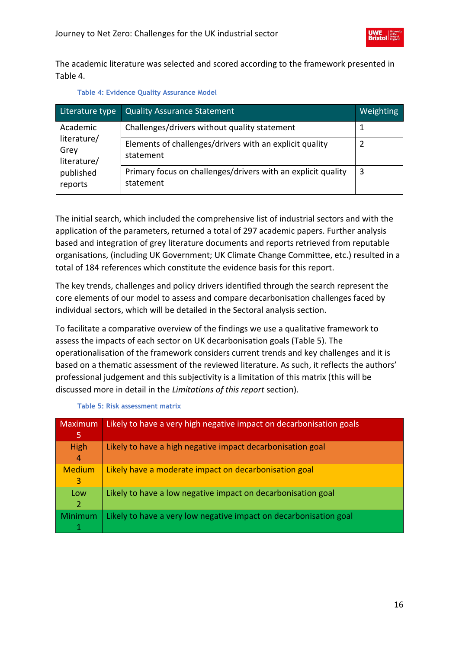The academic literature was selected and scored according to the framework presented in [Table 4.](#page-15-0)

<span id="page-15-0"></span>

| Literature type                    | <b>Quality Assurance Statement</b>                                        | Weighting |
|------------------------------------|---------------------------------------------------------------------------|-----------|
| Academic                           | Challenges/drivers without quality statement                              |           |
| literature/<br>Grey<br>literature/ | Elements of challenges/drivers with an explicit quality<br>statement      |           |
| published<br>reports               | Primary focus on challenges/drivers with an explicit quality<br>statement | 3         |

|  | <b>Table 4: Evidence Quality Assurance Model</b> |  |
|--|--------------------------------------------------|--|
|  |                                                  |  |

The initial search, which included the comprehensive list of industrial sectors and with the application of the parameters, returned a total of 297 academic papers. Further analysis based and integration of grey literature documents and reports retrieved from reputable organisations, (including UK Government; UK Climate Change Committee, etc.) resulted in a total of 184 references which constitute the evidence basis for this report.

The key trends, challenges and policy drivers identified through the search represent the core elements of our model to assess and compare decarbonisation challenges faced by individual sectors, which will be detailed in the Sectoral analysis section.

To facilitate a comparative overview of the findings we use a qualitative framework to assess the impacts of each sector on UK decarbonisation goals [\(Table 5\)](#page-15-1). The operationalisation of the framework considers current trends and key challenges and it is based on a thematic assessment of the reviewed literature. As such, it reflects the authors' professional judgement and this subjectivity is a limitation of this matrix (this will be discussed more in detail in the *Limitations of this report* section).

<span id="page-15-1"></span>

| <b>Maximum</b> | Likely to have a very high negative impact on decarbonisation goals |
|----------------|---------------------------------------------------------------------|
| 5              |                                                                     |
| High           | Likely to have a high negative impact decarbonisation goal          |
| $\overline{4}$ |                                                                     |
| <b>Medium</b>  | Likely have a moderate impact on decarbonisation goal               |
| 3              |                                                                     |
| Low            | Likely to have a low negative impact on decarbonisation goal        |
| 2              |                                                                     |
| Minimum        | Likely to have a very low negative impact on decarbonisation goal   |
|                |                                                                     |

**Table 5: Risk assessment matrix**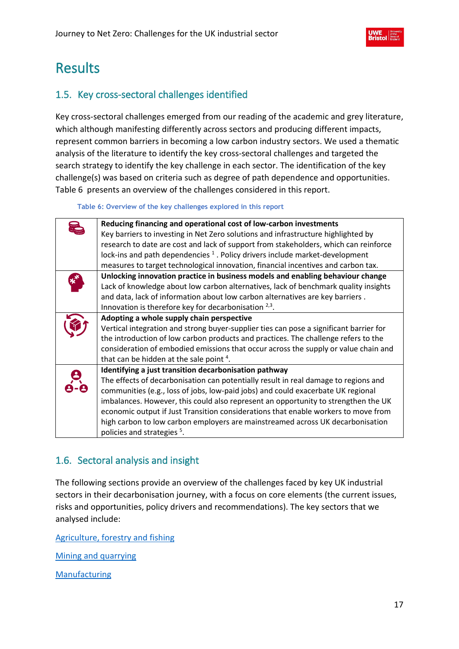

# <span id="page-16-0"></span>Results

# <span id="page-16-1"></span>1.5. Key cross-sectoral challenges identified

Key cross-sectoral challenges emerged from our reading of the academic and grey literature, which although manifesting differently across sectors and producing different impacts, represent common barriers in becoming a low carbon industry sectors. We used a thematic analysis of the literature to identify the key cross-sectoral challenges and targeted the search strategy to identify the key challenge in each sector. The identification of the key challenge(s) was based on criteria such as degree of path dependence and opportunities. Table 6 presents an overview of the challenges considered in this report.

**Table 6: Overview of the key challenges explored in this report**

<span id="page-16-3"></span>

| Reducing financing and operational cost of low-carbon investments                       |
|-----------------------------------------------------------------------------------------|
| Key barriers to investing in Net Zero solutions and infrastructure highlighted by       |
| research to date are cost and lack of support from stakeholders, which can reinforce    |
| lock-ins and path dependencies <sup>1</sup> . Policy drivers include market-development |
| measures to target technological innovation, financial incentives and carbon tax.       |
| Unlocking innovation practice in business models and enabling behaviour change          |
| Lack of knowledge about low carbon alternatives, lack of benchmark quality insights     |
| and data, lack of information about low carbon alternatives are key barriers.           |
| Innovation is therefore key for decarbonisation $2,3$ .                                 |
| Adopting a whole supply chain perspective                                               |
| Vertical integration and strong buyer-supplier ties can pose a significant barrier for  |
| the introduction of low carbon products and practices. The challenge refers to the      |
| consideration of embodied emissions that occur across the supply or value chain and     |
| that can be hidden at the sale point <sup>4</sup> .                                     |
| Identifying a just transition decarbonisation pathway                                   |
| The effects of decarbonisation can potentially result in real damage to regions and     |
| communities (e.g., loss of jobs, low-paid jobs) and could exacerbate UK regional        |
| imbalances. However, this could also represent an opportunity to strengthen the UK      |
| economic output if Just Transition considerations that enable workers to move from      |
| high carbon to low carbon employers are mainstreamed across UK decarbonisation          |
| policies and strategies <sup>5</sup> .                                                  |

# <span id="page-16-2"></span>1.6. Sectoral analysis and insight

The following sections provide an overview of the challenges faced by key UK industrial sectors in their decarbonisation journey, with a focus on core elements (the current issues, risks and opportunities, policy drivers and recommendations). The key sectors that we analysed include:

[Agriculture, forestry and fishing](#page-18-1)

[Mining and quarrying](#page-21-0)

[Manufacturing](#page-23-1)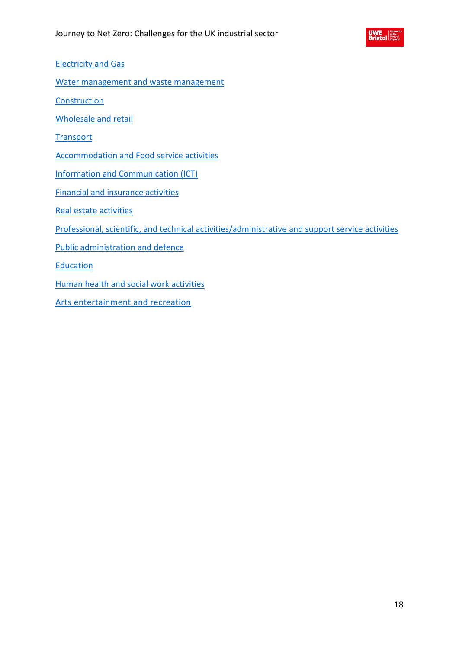

[Electricity and Gas](#page-26-0)

[Water management and waste management](#page-28-0)

**[Construction](#page-30-0)** 

[Wholesale and retail](#page-32-0)

**[Transport](#page-34-0)** 

[Accommodation and Food service activities](#page-36-1)

[Information and Communication \(ICT\)](#page-38-1)

[Financial and insurance activities](#page-40-0)

[Real estate activities](#page-42-0)

[Professional, scientific, and technical activities/administrative and support service activities](#page-44-0)

[Public administration and defence](#page-46-0)

**[Education](#page-48-0)** 

[Human health and social work activities](#page-50-0)

[Arts entertainment and recreation](#page-52-0)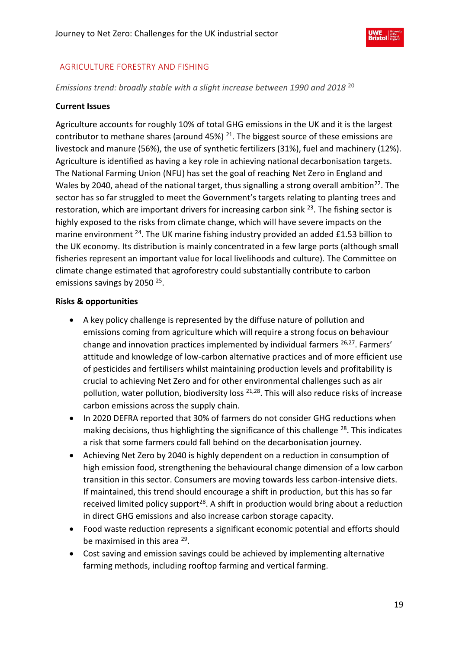

# <span id="page-18-0"></span>AGRICULTURE FORESTRY AND FISHING

<span id="page-18-1"></span>*Emissions trend: broadly stable with a slight increase between 1990 and 2018* <sup>20</sup>

# **Current Issues**

Agriculture accounts for roughly 10% of total GHG emissions in the UK and it is the largest contributor to methane shares (around 45%)  $21$ . The biggest source of these emissions are livestock and manure (56%), the use of synthetic fertilizers (31%), fuel and machinery (12%). Agriculture is identified as having a key role in achieving national decarbonisation targets. The National Farming Union (NFU) has set the goal of reaching Net Zero in England and Wales by 2040, ahead of the national target, thus signalling a strong overall ambition<sup>22</sup>. The sector has so far struggled to meet the Government's targets relating to planting trees and restoration, which are important drivers for increasing carbon sink <sup>23</sup>. The fishing sector is highly exposed to the risks from climate change, which will have severe impacts on the marine environment <sup>24</sup>. The UK marine fishing industry provided an added £1.53 billion to the UK economy. Its distribution is mainly concentrated in a few large ports (although small fisheries represent an important value for local livelihoods and culture). The Committee on climate change estimated that agroforestry could substantially contribute to carbon emissions savings by 2050<sup>25</sup>.

# **Risks & opportunities**

- A key policy challenge is represented by the diffuse nature of pollution and emissions coming from agriculture which will require a strong focus on behaviour change and innovation practices implemented by individual farmers  $^{26,27}$ . Farmers' attitude and knowledge of low-carbon alternative practices and of more efficient use of pesticides and fertilisers whilst maintaining production levels and profitability is crucial to achieving Net Zero and for other environmental challenges such as air pollution, water pollution, biodiversity loss <sup>21,28</sup>. This will also reduce risks of increase carbon emissions across the supply chain.
- In 2020 DEFRA reported that 30% of farmers do not consider GHG reductions when making decisions, thus highlighting the significance of this challenge <sup>28</sup>. This indicates a risk that some farmers could fall behind on the decarbonisation journey.
- Achieving Net Zero by 2040 is highly dependent on a reduction in consumption of high emission food, strengthening the behavioural change dimension of a low carbon transition in this sector. Consumers are moving towards less carbon-intensive diets. If maintained, this trend should encourage a shift in production, but this has so far received limited policy support $28$ . A shift in production would bring about a reduction in direct GHG emissions and also increase carbon storage capacity.
- Food waste reduction represents a significant economic potential and efforts should be maximised in this area<sup>29</sup>.
- Cost saving and emission savings could be achieved by implementing alternative farming methods, including rooftop farming and vertical farming.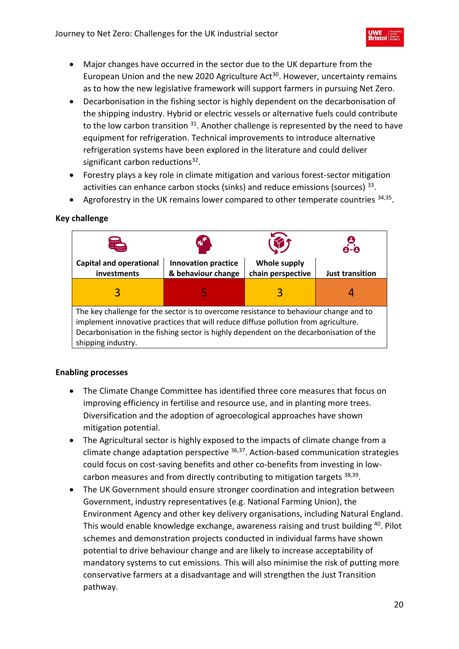- Major changes have occurred in the sector due to the UK departure from the European Union and the new 2020 Agriculture Act<sup>30</sup>. However, uncertainty remains as to how the new legislative framework will support farmers in pursuing Net Zero.
- Decarbonisation in the fishing sector is highly dependent on the decarbonisation of the shipping industry. Hybrid or electric vessels or alternative fuels could contribute to the low carbon transition <sup>31</sup>. Another challenge is represented by the need to have equipment for refrigeration. Technical improvements to introduce alternative refrigeration systems have been explored in the literature and could deliver significant carbon reductions<sup>32</sup>.
- Forestry plays a key role in climate mitigation and various forest-sector mitigation activities can enhance carbon stocks (sinks) and reduce emissions (sources)<sup>33</sup>.
- Agroforestry in the UK remains lower compared to other temperate countries  $34,35$ .

# **Key challenge**



- The Climate Change Committee has identified three core measures that focus on improving efficiency in fertilise and resource use, and in planting more trees. Diversification and the adoption of agroecological approaches have shown mitigation potential.
- The Agricultural sector is highly exposed to the impacts of climate change from a climate change adaptation perspective  $36,37$ . Action-based communication strategies could focus on cost-saving benefits and other co-benefits from investing in lowcarbon measures and from directly contributing to mitigation targets <sup>38,39</sup>.
- The UK Government should ensure stronger coordination and integration between Government, industry representatives (e.g. National Farming Union), the Environment Agency and other key delivery organisations, including Natural England. This would enable knowledge exchange, awareness raising and trust building <sup>40</sup>. Pilot schemes and demonstration projects conducted in individual farms have shown potential to drive behaviour change and are likely to increase acceptability of mandatory systems to cut emissions. This will also minimise the risk of putting more conservative farmers at a disadvantage and will strengthen the Just Transition pathway.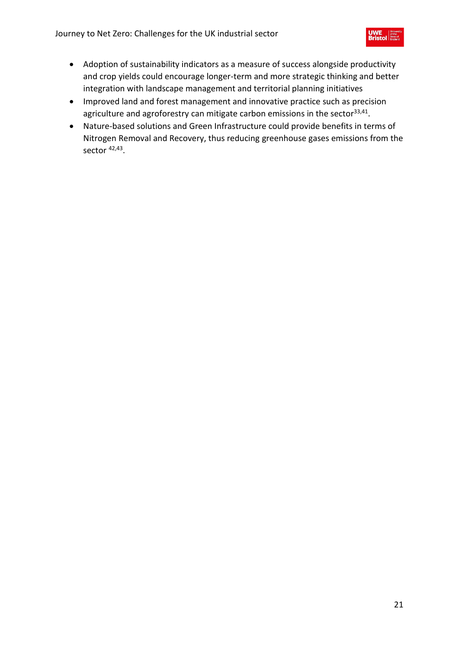- Adoption of sustainability indicators as a measure of success alongside productivity and crop yields could encourage longer-term and more strategic thinking and better integration with landscape management and territorial planning initiatives
- Improved land and forest management and innovative practice such as precision agriculture and agroforestry can mitigate carbon emissions in the sector<sup>33,41</sup>.
- Nature-based solutions and Green Infrastructure could provide benefits in terms of Nitrogen Removal and Recovery, thus reducing greenhouse gases emissions from the sector <sup>42,43</sup>.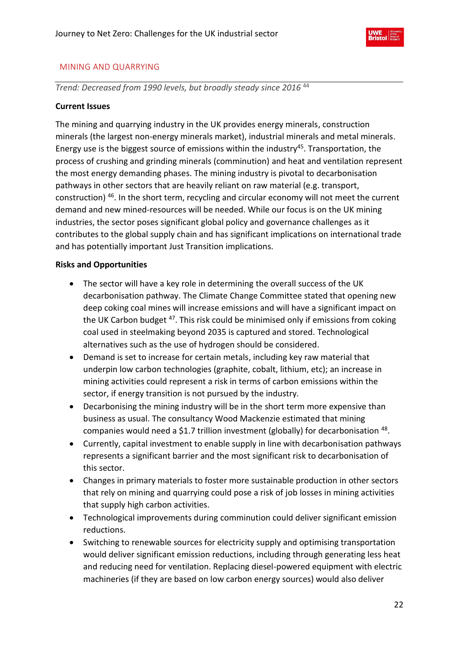

# <span id="page-21-0"></span>MINING AND QUARRYING

*Trend: Decreased from 1990 levels, but broadly steady since 2016* 44

# **Current Issues**

The mining and quarrying industry in the UK provides energy minerals, construction minerals (the largest non-energy minerals market), industrial minerals and metal minerals. Energy use is the biggest source of emissions within the industry<sup>45</sup>. Transportation, the process of crushing and grinding minerals (comminution) and heat and ventilation represent the most energy demanding phases. The mining industry is pivotal to decarbonisation pathways in other sectors that are heavily reliant on raw material (e.g. transport, construction) <sup>46</sup>. In the short term, recycling and circular economy will not meet the current demand and new mined-resources will be needed. While our focus is on the UK mining industries, the sector poses significant global policy and governance challenges as it contributes to the global supply chain and has significant implications on international trade and has potentially important Just Transition implications.

# **Risks and Opportunities**

- The sector will have a key role in determining the overall success of the UK decarbonisation pathway. The Climate Change Committee stated that opening new deep coking coal mines will increase emissions and will have a significant impact on the UK Carbon budget <sup>47</sup>. This risk could be minimised only if emissions from coking coal used in steelmaking beyond 2035 is captured and stored. Technological alternatives such as the use of hydrogen should be considered.
- Demand is set to increase for certain metals, including key raw material that underpin low carbon technologies (graphite, cobalt, lithium, etc); an increase in mining activities could represent a risk in terms of carbon emissions within the sector, if energy transition is not pursued by the industry.
- Decarbonising the mining industry will be in the short term more expensive than business as usual. The consultancy Wood Mackenzie estimated that mining companies would need a \$1.7 trillion investment (globally) for decarbonisation  $48$ .
- Currently, capital investment to enable supply in line with decarbonisation pathways represents a significant barrier and the most significant risk to decarbonisation of this sector.
- Changes in primary materials to foster more sustainable production in other sectors that rely on mining and quarrying could pose a risk of job losses in mining activities that supply high carbon activities.
- Technological improvements during comminution could deliver significant emission reductions.
- Switching to renewable sources for electricity supply and optimising transportation would deliver significant emission reductions, including through generating less heat and reducing need for ventilation. Replacing diesel-powered equipment with electric machineries (if they are based on low carbon energy sources) would also deliver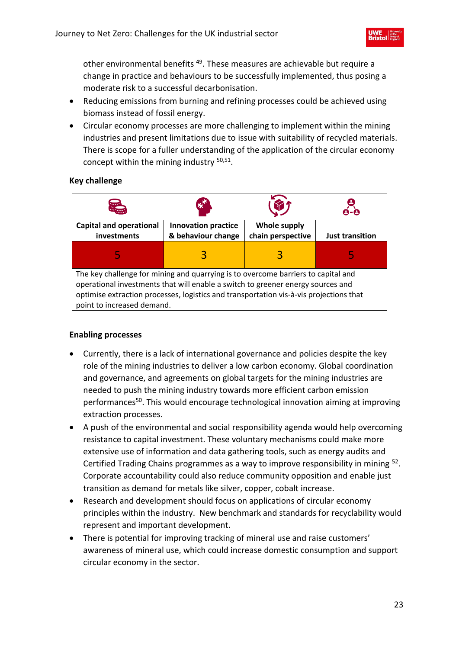other environmental benefits<sup>49</sup>. These measures are achievable but require a change in practice and behaviours to be successfully implemented, thus posing a moderate risk to a successful decarbonisation.

- Reducing emissions from burning and refining processes could be achieved using biomass instead of fossil energy.
- Circular economy processes are more challenging to implement within the mining industries and present limitations due to issue with suitability of recycled materials. There is scope for a fuller understanding of the application of the circular economy concept within the mining industry <sup>50,51</sup>.

# **Key challenge**



- Currently, there is a lack of international governance and policies despite the key role of the mining industries to deliver a low carbon economy. Global coordination and governance, and agreements on global targets for the mining industries are needed to push the mining industry towards more efficient carbon emission performances<sup>50</sup>. This would encourage technological innovation aiming at improving extraction processes.
- A push of the environmental and social responsibility agenda would help overcoming resistance to capital investment. These voluntary mechanisms could make more extensive use of information and data gathering tools, such as energy audits and Certified Trading Chains programmes as a way to improve responsibility in mining <sup>52</sup>. Corporate accountability could also reduce community opposition and enable just transition as demand for metals like silver, copper, cobalt increase.
- Research and development should focus on applications of circular economy principles within the industry. New benchmark and standards for recyclability would represent and important development.
- There is potential for improving tracking of mineral use and raise customers' awareness of mineral use, which could increase domestic consumption and support circular economy in the sector.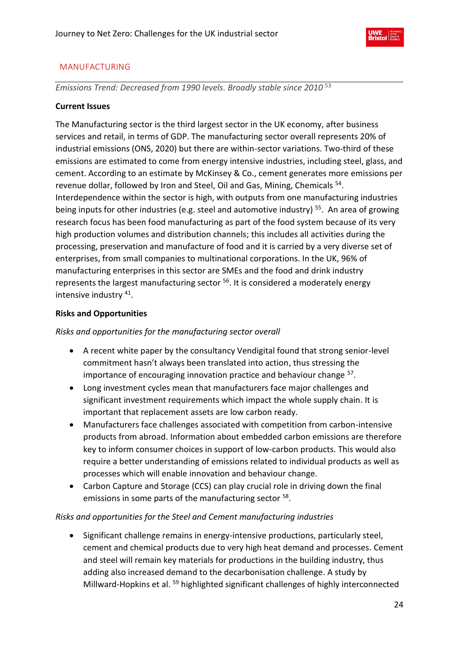

# <span id="page-23-0"></span>MANUFACTURING

<span id="page-23-1"></span>*Emissions Trend: Decreased from 1990 levels. Broadly stable since 2010* 53

# **Current Issues**

The Manufacturing sector is the third largest sector in the UK economy, after business services and retail, in terms of GDP. The manufacturing sector overall represents 20% of industrial emissions (ONS, 2020) but there are within-sector variations. Two-third of these emissions are estimated to come from energy intensive industries, including steel, glass, and cement. According to an estimate by McKinsey & Co., cement generates more emissions per revenue dollar, followed by Iron and Steel, Oil and Gas, Mining, Chemicals <sup>54</sup>. Interdependence within the sector is high, with outputs from one manufacturing industries being inputs for other industries (e.g. steel and automotive industry)<sup>55</sup>. An area of growing research focus has been food manufacturing as part of the food system because of its very high production volumes and distribution channels; this includes all activities during the processing, preservation and manufacture of food and it is carried by a very diverse set of enterprises, from small companies to multinational corporations. In the UK, 96% of manufacturing enterprises in this sector are SMEs and the food and drink industry represents the largest manufacturing sector <sup>56</sup>. It is considered a moderately energy intensive industry <sup>41</sup>.

# **Risks and Opportunities**

*Risks and opportunities for the manufacturing sector overall*

- A recent white paper by the consultancy Vendigital found that strong senior-level commitment hasn't always been translated into action, thus stressing the importance of encouraging innovation practice and behaviour change <sup>57</sup>.
- Long investment cycles mean that manufacturers face major challenges and significant investment requirements which impact the whole supply chain. It is important that replacement assets are low carbon ready.
- Manufacturers face challenges associated with competition from carbon-intensive products from abroad. Information about embedded carbon emissions are therefore key to inform consumer choices in support of low-carbon products. This would also require a better understanding of emissions related to individual products as well as processes which will enable innovation and behaviour change.
- Carbon Capture and Storage (CCS) can play crucial role in driving down the final emissions in some parts of the manufacturing sector <sup>58</sup>.

# *Risks and opportunities for the Steel and Cement manufacturing industries*

• Significant challenge remains in energy-intensive productions, particularly steel, cement and chemical products due to very high heat demand and processes. Cement and steel will remain key materials for productions in the building industry, thus adding also increased demand to the decarbonisation challenge. A study by Millward-Hopkins et al.<sup>59</sup> highlighted significant challenges of highly interconnected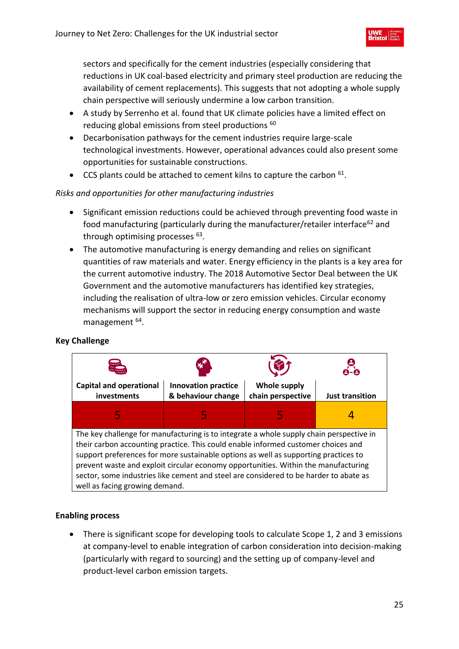sectors and specifically for the cement industries (especially considering that reductions in UK coal-based electricity and primary steel production are reducing the availability of cement replacements). This suggests that not adopting a whole supply chain perspective will seriously undermine a low carbon transition.

- A study by Serrenho et al. found that UK climate policies have a limited effect on reducing global emissions from steel productions <sup>60</sup>
- Decarbonisation pathways for the cement industries require large-scale technological investments. However, operational advances could also present some opportunities for sustainable constructions.
- $\bullet$  CCS plants could be attached to cement kilns to capture the carbon  $^{61}$ .

# *Risks and opportunities for other manufacturing industries*

- Significant emission reductions could be achieved through preventing food waste in food manufacturing (particularly during the manufacturer/retailer interface<sup>62</sup> and through optimising processes <sup>63</sup>.
- The automotive manufacturing is energy demanding and relies on significant quantities of raw materials and water. Energy efficiency in the plants is a key area for the current automotive industry. The 2018 Automotive Sector Deal between the UK Government and the automotive manufacturers has identified key strategies, including the realisation of ultra-low or zero emission vehicles. Circular economy mechanisms will support the sector in reducing energy consumption and waste management <sup>64</sup>.

# **Key Challenge**



# **Enabling process**

• There is significant scope for developing tools to calculate Scope 1, 2 and 3 emissions at company-level to enable integration of carbon consideration into decision-making (particularly with regard to sourcing) and the setting up of company-level and product-level carbon emission targets.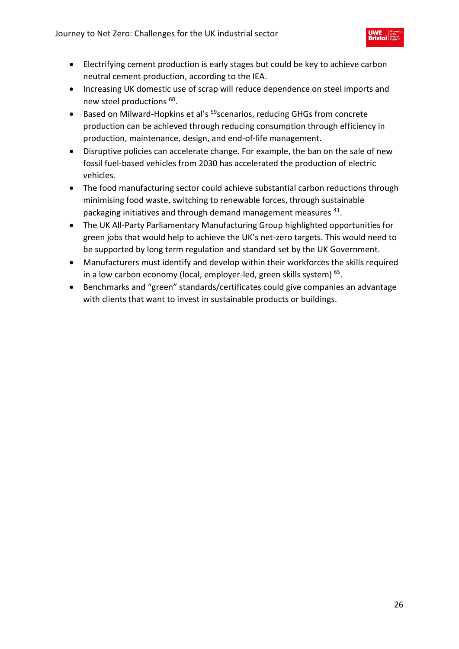- Electrifying cement production is early stages but could be key to achieve carbon neutral cement production, according to the IEA.
- Increasing UK domestic use of scrap will reduce dependence on steel imports and new steel productions <sup>60</sup>.
- Based on Milward-Hopkins et al's <sup>59</sup>scenarios, reducing GHGs from concrete production can be achieved through reducing consumption through efficiency in production, maintenance, design, and end-of-life management.
- Disruptive policies can accelerate change. For example, the ban on the sale of new fossil fuel-based vehicles from 2030 has accelerated the production of electric vehicles.
- The food manufacturing sector could achieve substantial carbon reductions through minimising food waste, switching to renewable forces, through sustainable packaging initiatives and through demand management measures <sup>41</sup>.
- The UK All-Party Parliamentary Manufacturing Group highlighted opportunities for green jobs that would help to achieve the UK's net-zero targets. This would need to be supported by long term regulation and standard set by the UK Government.
- Manufacturers must identify and develop within their workforces the skills required in a low carbon economy (local, employer-led, green skills system)<sup>65</sup>.
- Benchmarks and "green" standards/certificates could give companies an advantage with clients that want to invest in sustainable products or buildings.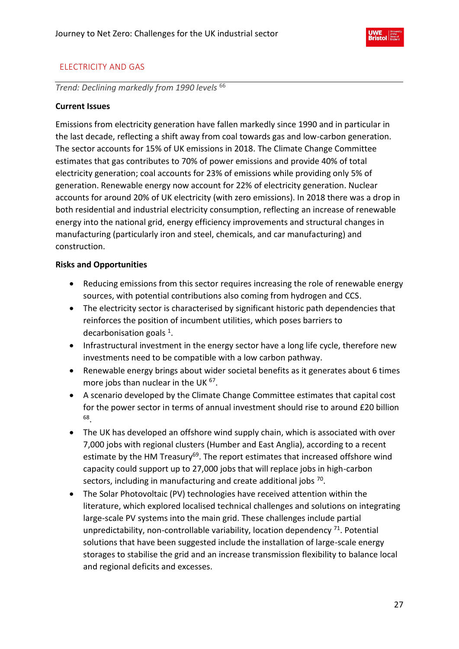

# <span id="page-26-0"></span>ELECTRICITY AND GAS

*Trend: Declining markedly from 1990 levels* <sup>66</sup>

# **Current Issues**

Emissions from electricity generation have fallen markedly since 1990 and in particular in the last decade, reflecting a shift away from coal towards gas and low-carbon generation. The sector accounts for 15% of UK emissions in 2018. The Climate Change Committee estimates that gas contributes to 70% of power emissions and provide 40% of total electricity generation; coal accounts for 23% of emissions while providing only 5% of generation. Renewable energy now account for 22% of electricity generation. Nuclear accounts for around 20% of UK electricity (with zero emissions). In 2018 there was a drop in both residential and industrial electricity consumption, reflecting an increase of renewable energy into the national grid, energy efficiency improvements and structural changes in manufacturing (particularly iron and steel, chemicals, and car manufacturing) and construction.

# **Risks and Opportunities**

- Reducing emissions from this sector requires increasing the role of renewable energy sources, with potential contributions also coming from hydrogen and CCS.
- The electricity sector is characterised by significant historic path dependencies that reinforces the position of incumbent utilities, which poses barriers to decarbonisation goals  $1$ .
- Infrastructural investment in the energy sector have a long life cycle, therefore new investments need to be compatible with a low carbon pathway.
- Renewable energy brings about wider societal benefits as it generates about 6 times more jobs than nuclear in the UK <sup>67</sup>.
- A scenario developed by the Climate Change Committee estimates that capital cost for the power sector in terms of annual investment should rise to around £20 billion 68 .
- The UK has developed an offshore wind supply chain, which is associated with over 7,000 jobs with regional clusters (Humber and East Anglia), according to a recent estimate by the HM Treasury<sup>69</sup>. The report estimates that increased offshore wind capacity could support up to 27,000 jobs that will replace jobs in high-carbon sectors, including in manufacturing and create additional jobs  $70$ .
- The Solar Photovoltaic (PV) technologies have received attention within the literature, which explored localised technical challenges and solutions on integrating large-scale PV systems into the main grid. These challenges include partial unpredictability, non-controllable variability, location dependency  $71$ . Potential solutions that have been suggested include the installation of large-scale energy storages to stabilise the grid and an increase transmission flexibility to balance local and regional deficits and excesses.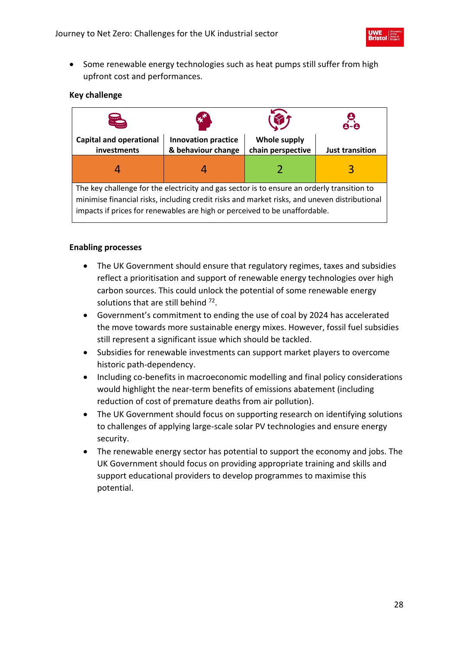

• Some renewable energy technologies such as heat pumps still suffer from high upfront cost and performances.

# **Key challenge**

| لىسا                                                                                                                                                                                                                                                                     |                                                  |                                          | 8-8                    |  |
|--------------------------------------------------------------------------------------------------------------------------------------------------------------------------------------------------------------------------------------------------------------------------|--------------------------------------------------|------------------------------------------|------------------------|--|
| <b>Capital and operational</b><br>investments                                                                                                                                                                                                                            | <b>Innovation practice</b><br>& behaviour change | <b>Whole supply</b><br>chain perspective | <b>Just transition</b> |  |
| 4                                                                                                                                                                                                                                                                        |                                                  |                                          | 3                      |  |
| The key challenge for the electricity and gas sector is to ensure an orderly transition to<br>minimise financial risks, including credit risks and market risks, and uneven distributional<br>impacts if prices for renewables are high or perceived to be unaffordable. |                                                  |                                          |                        |  |

- The UK Government should ensure that regulatory regimes, taxes and subsidies reflect a prioritisation and support of renewable energy technologies over high carbon sources. This could unlock the potential of some renewable energy solutions that are still behind  $72$ .
- Government's commitment to ending the use of coal by 2024 has accelerated the move towards more sustainable energy mixes. However, fossil fuel subsidies still represent a significant issue which should be tackled.
- Subsidies for renewable investments can support market players to overcome historic path-dependency.
- Including co-benefits in macroeconomic modelling and final policy considerations would highlight the near-term benefits of emissions abatement (including reduction of cost of premature deaths from air pollution).
- The UK Government should focus on supporting research on identifying solutions to challenges of applying large-scale solar PV technologies and ensure energy security.
- The renewable energy sector has potential to support the economy and jobs. The UK Government should focus on providing appropriate training and skills and support educational providers to develop programmes to maximise this potential.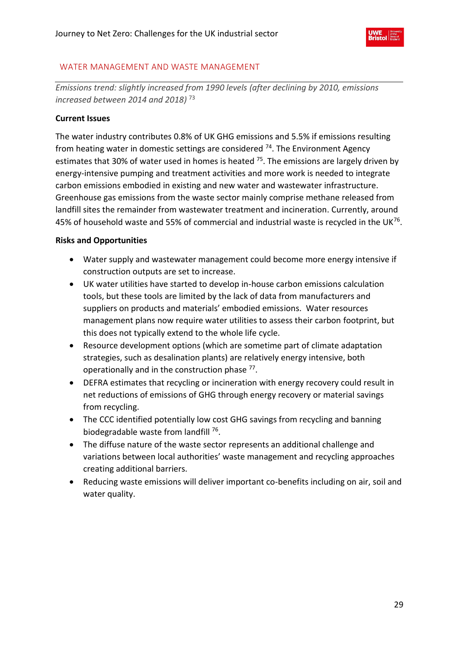

# <span id="page-28-0"></span>WATER MANAGEMENT AND WASTE MANAGEMENT

*Emissions trend: slightly increased from 1990 levels (after declining by 2010, emissions increased between 2014 and 2018)* 73

# **Current Issues**

The water industry contributes 0.8% of UK GHG emissions and 5.5% if emissions resulting from heating water in domestic settings are considered  $74$ . The Environment Agency estimates that 30% of water used in homes is heated <sup>75</sup>. The emissions are largely driven by energy-intensive pumping and treatment activities and more work is needed to integrate carbon emissions embodied in existing and new water and wastewater infrastructure. Greenhouse gas emissions from the waste sector mainly comprise methane released from landfill sites the remainder from wastewater treatment and incineration. Currently, around 45% of household waste and 55% of commercial and industrial waste is recycled in the UK $^{76}$ .

# **Risks and Opportunities**

- Water supply and wastewater management could become more energy intensive if construction outputs are set to increase.
- UK water utilities have started to develop in-house carbon emissions calculation tools, but these tools are limited by the lack of data from manufacturers and suppliers on products and materials' embodied emissions. Water resources management plans now require water utilities to assess their carbon footprint, but this does not typically extend to the whole life cycle.
- Resource development options (which are sometime part of climate adaptation strategies, such as desalination plants) are relatively energy intensive, both operationally and in the construction phase <sup>77</sup>.
- DEFRA estimates that recycling or incineration with energy recovery could result in net reductions of emissions of GHG through energy recovery or material savings from recycling.
- The CCC identified potentially low cost GHG savings from recycling and banning biodegradable waste from landfill<sup>76</sup>.
- The diffuse nature of the waste sector represents an additional challenge and variations between local authorities' waste management and recycling approaches creating additional barriers.
- Reducing waste emissions will deliver important co-benefits including on air, soil and water quality.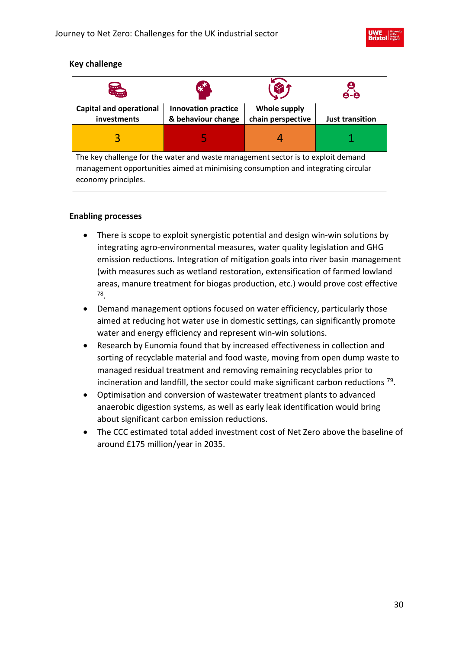

# **Key challenge**

| <b>Search</b>                                                                                                                                                                                | ЖÎ                                               |                                          |                        |  |
|----------------------------------------------------------------------------------------------------------------------------------------------------------------------------------------------|--------------------------------------------------|------------------------------------------|------------------------|--|
| <b>Capital and operational</b><br>investments                                                                                                                                                | <b>Innovation practice</b><br>& behaviour change | <b>Whole supply</b><br>chain perspective | <b>Just transition</b> |  |
| 3                                                                                                                                                                                            |                                                  |                                          |                        |  |
| The key challenge for the water and waste management sector is to exploit demand<br>management opportunities aimed at minimising consumption and integrating circular<br>economy principles. |                                                  |                                          |                        |  |

- There is scope to exploit synergistic potential and design win-win solutions by integrating agro-environmental measures, water quality legislation and GHG emission reductions. Integration of mitigation goals into river basin management (with measures such as wetland restoration, extensification of farmed lowland areas, manure treatment for biogas production, etc.) would prove cost effective 78 .
- Demand management options focused on water efficiency, particularly those aimed at reducing hot water use in domestic settings, can significantly promote water and energy efficiency and represent win-win solutions.
- Research by Eunomia found that by increased effectiveness in collection and sorting of recyclable material and food waste, moving from open dump waste to managed residual treatment and removing remaining recyclables prior to incineration and landfill, the sector could make significant carbon reductions <sup>79</sup> .
- Optimisation and conversion of wastewater treatment plants to advanced anaerobic digestion systems, as well as early leak identification would bring about significant carbon emission reductions.
- The CCC estimated total added investment cost of Net Zero above the baseline of around £175 million/year in 2035.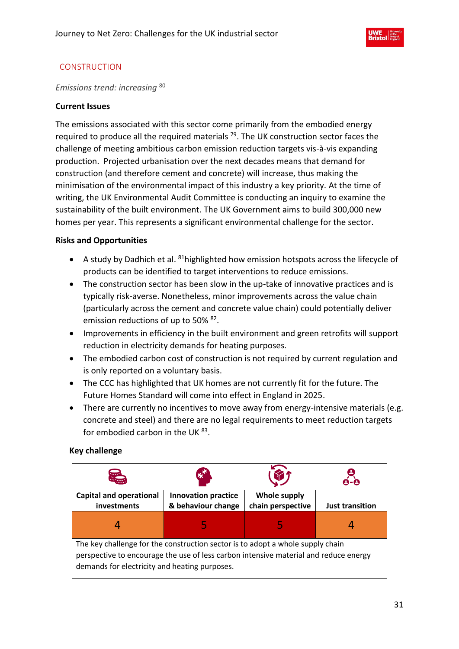

# <span id="page-30-0"></span>CONSTRUCTION

*Emissions trend: increasing* <sup>80</sup>

# **Current Issues**

The emissions associated with this sector come primarily from the embodied energy required to produce all the required materials <sup>79</sup>. The UK construction sector faces the challenge of meeting ambitious carbon emission reduction targets vis-à-vis expanding production. Projected urbanisation over the next decades means that demand for construction (and therefore cement and concrete) will increase, thus making the minimisation of the environmental impact of this industry a key priority. At the time of writing, the UK Environmental Audit Committee is conducting an inquiry to examine the sustainability of the built environment. The UK Government aims to build 300,000 new homes per year. This represents a significant environmental challenge for the sector.

# **Risks and Opportunities**

- A study by Dadhich et al. <sup>81</sup>highlighted how emission hotspots across the lifecycle of products can be identified to target interventions to reduce emissions.
- The construction sector has been slow in the up-take of innovative practices and is typically risk-averse. Nonetheless, minor improvements across the value chain (particularly across the cement and concrete value chain) could potentially deliver emission reductions of up to 50% <sup>82</sup>.
- Improvements in efficiency in the built environment and green retrofits will support reduction in electricity demands for heating purposes.
- The embodied carbon cost of construction is not required by current regulation and is only reported on a voluntary basis.
- The CCC has highlighted that UK homes are not currently fit for the future. The Future Homes Standard will come into effect in England in 2025.
- There are currently no incentives to move away from energy-intensive materials (e.g. concrete and steel) and there are no legal requirements to meet reduction targets for embodied carbon in the UK<sup>83</sup>.

# **Key challenge**

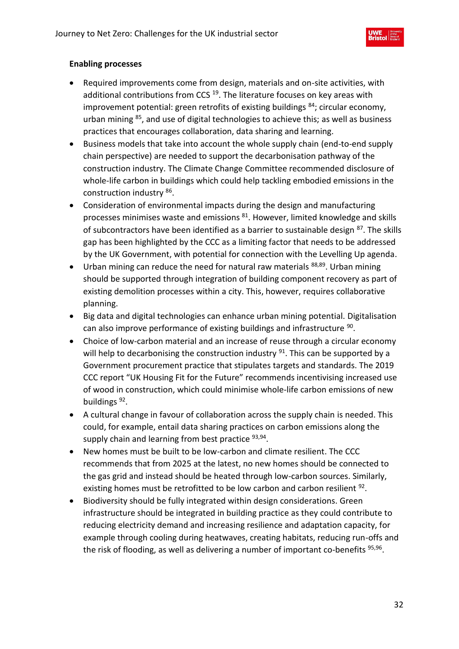- Required improvements come from design, materials and on-site activities, with additional contributions from CCS<sup>19</sup>. The literature focuses on key areas with improvement potential: green retrofits of existing buildings  $84$ ; circular economy, urban mining <sup>85</sup>, and use of digital technologies to achieve this; as well as business practices that encourages collaboration, data sharing and learning.
- Business models that take into account the whole supply chain (end-to-end supply chain perspective) are needed to support the decarbonisation pathway of the construction industry. The Climate Change Committee recommended disclosure of whole-life carbon in buildings which could help tackling embodied emissions in the construction industry <sup>86</sup>.
- Consideration of environmental impacts during the design and manufacturing processes minimises waste and emissions <sup>81</sup>. However, limited knowledge and skills of subcontractors have been identified as a barrier to sustainable design <sup>87</sup>. The skills gap has been highlighted by the CCC as a limiting factor that needs to be addressed by the UK Government, with potential for connection with the Levelling Up agenda.
- Urban mining can reduce the need for natural raw materials <sup>88,89</sup>. Urban mining should be supported through integration of building component recovery as part of existing demolition processes within a city. This, however, requires collaborative planning.
- Big data and digital technologies can enhance urban mining potential. Digitalisation can also improve performance of existing buildings and infrastructure <sup>90</sup>.
- Choice of low-carbon material and an increase of reuse through a circular economy will help to decarbonising the construction industry <sup>91</sup>. This can be supported by a Government procurement practice that stipulates targets and standards. The 2019 CCC report "UK Housing Fit for the Future" recommends incentivising increased use of wood in construction, which could minimise whole-life carbon emissions of new buildings<sup>92</sup>.
- A cultural change in favour of collaboration across the supply chain is needed. This could, for example, entail data sharing practices on carbon emissions along the supply chain and learning from best practice <sup>93,94</sup>.
- New homes must be built to be low-carbon and climate resilient. The CCC recommends that from 2025 at the latest, no new homes should be connected to the gas grid and instead should be heated through low-carbon sources. Similarly, existing homes must be retrofitted to be low carbon and carbon resilient  $92$ .
- Biodiversity should be fully integrated within design considerations. Green infrastructure should be integrated in building practice as they could contribute to reducing electricity demand and increasing resilience and adaptation capacity, for example through cooling during heatwaves, creating habitats, reducing run-offs and the risk of flooding, as well as delivering a number of important co-benefits <sup>95,96</sup>.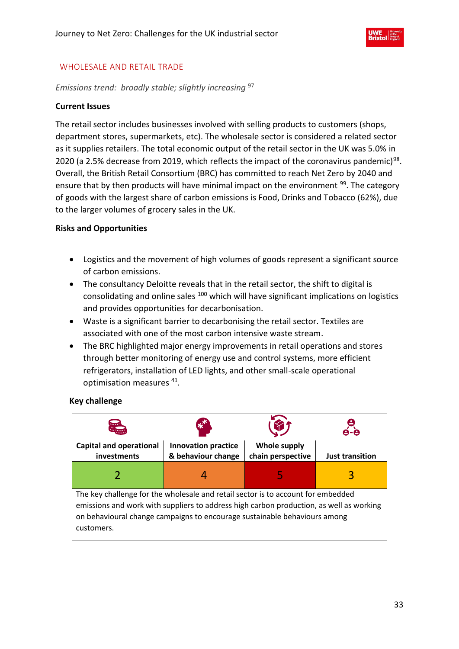

# <span id="page-32-0"></span>WHOLESALE AND RETAIL TRADE

*Emissions trend: broadly stable; slightly increasing* <sup>97</sup>

# **Current Issues**

The retail sector includes businesses involved with selling products to customers (shops, department stores, supermarkets, etc). The wholesale sector is considered a related sector as it supplies retailers. The total economic output of the retail sector in the UK was 5.0% in 2020 (a 2.5% decrease from 2019, which reflects the impact of the coronavirus pandemic)<sup>98</sup>. Overall, the British Retail Consortium (BRC) has committed to reach Net Zero by 2040 and ensure that by then products will have minimal impact on the environment <sup>99</sup>. The category of goods with the largest share of carbon emissions is Food, Drinks and Tobacco (62%), due to the larger volumes of grocery sales in the UK.

# **Risks and Opportunities**

- Logistics and the movement of high volumes of goods represent a significant source of carbon emissions.
- The consultancy Deloitte reveals that in the retail sector, the shift to digital is consolidating and online sales <sup>100</sup> which will have significant implications on logistics and provides opportunities for decarbonisation.
- Waste is a significant barrier to decarbonising the retail sector. Textiles are associated with one of the most carbon intensive waste stream.
- The BRC highlighted major energy improvements in retail operations and stores through better monitoring of energy use and control systems, more efficient refrigerators, installation of LED lights, and other small-scale operational optimisation measures <sup>41</sup> .

# **Key challenge**

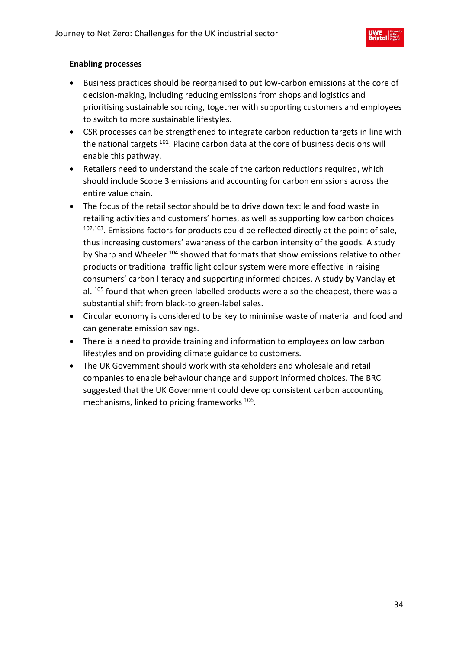

- Business practices should be reorganised to put low-carbon emissions at the core of decision-making, including reducing emissions from shops and logistics and prioritising sustainable sourcing, together with supporting customers and employees to switch to more sustainable lifestyles.
- CSR processes can be strengthened to integrate carbon reduction targets in line with the national targets <sup>101</sup>. Placing carbon data at the core of business decisions will enable this pathway.
- Retailers need to understand the scale of the carbon reductions required, which should include Scope 3 emissions and accounting for carbon emissions across the entire value chain.
- The focus of the retail sector should be to drive down textile and food waste in retailing activities and customers' homes, as well as supporting low carbon choices <sup>102,103</sup>. Emissions factors for products could be reflected directly at the point of sale, thus increasing customers' awareness of the carbon intensity of the goods. A study by Sharp and Wheeler <sup>104</sup> showed that formats that show emissions relative to other products or traditional traffic light colour system were more effective in raising consumers' carbon literacy and supporting informed choices. A study by Vanclay et al. <sup>105</sup> found that when green-labelled products were also the cheapest, there was a substantial shift from black-to green-label sales.
- Circular economy is considered to be key to minimise waste of material and food and can generate emission savings.
- There is a need to provide training and information to employees on low carbon lifestyles and on providing climate guidance to customers.
- The UK Government should work with stakeholders and wholesale and retail companies to enable behaviour change and support informed choices. The BRC suggested that the UK Government could develop consistent carbon accounting mechanisms, linked to pricing frameworks 106 .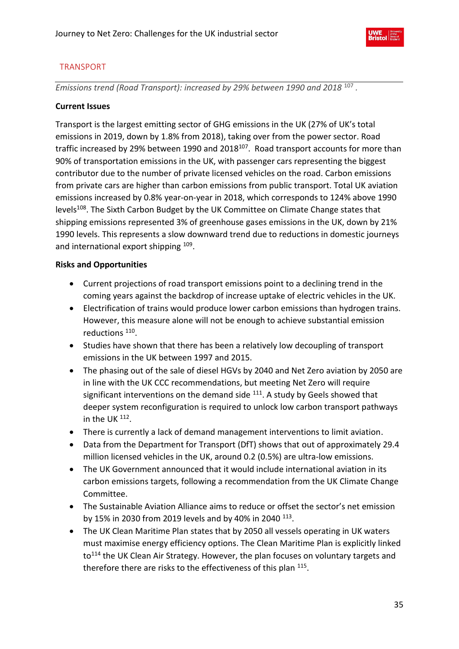

# <span id="page-34-0"></span>TRANSPORT

Emissions trend (Road Transport): increased by 29% between 1990 and 2018<sup>107</sup>.

# **Current Issues**

Transport is the largest emitting sector of GHG emissions in the UK (27% of UK's total emissions in 2019, down by 1.8% from 2018), taking over from the power sector. Road traffic increased by 29% between 1990 and 2018<sup>107</sup>. Road transport accounts for more than 90% of transportation emissions in the UK, with passenger cars representing the biggest contributor due to the number of private licensed vehicles on the road. Carbon emissions from private cars are higher than carbon emissions from public transport. Total UK aviation emissions increased by 0.8% year-on-year in 2018, which corresponds to 124% above 1990 levels<sup>108</sup>. The Sixth Carbon Budget by the UK Committee on Climate Change states that shipping emissions represented 3% of greenhouse gases emissions in the UK, down by 21% 1990 levels. This represents a slow downward trend due to reductions in domestic journeys and international export shipping <sup>109</sup>.

# **Risks and Opportunities**

- Current projections of road transport emissions point to a declining trend in the coming years against the backdrop of increase uptake of electric vehicles in the UK.
- Electrification of trains would produce lower carbon emissions than hydrogen trains. However, this measure alone will not be enough to achieve substantial emission reductions <sup>110</sup>.
- Studies have shown that there has been a relatively low decoupling of transport emissions in the UK between 1997 and 2015.
- The phasing out of the sale of diesel HGVs by 2040 and Net Zero aviation by 2050 are in line with the UK CCC recommendations, but meeting Net Zero will require significant interventions on the demand side  $111$ . A study by Geels showed that deeper system reconfiguration is required to unlock low carbon transport pathways in the UK  $^{112}$ .
- There is currently a lack of demand management interventions to limit aviation.
- Data from the Department for Transport (DfT) shows that out of approximately 29.4 million licensed vehicles in the UK, around 0.2 (0.5%) are ultra-low emissions.
- The UK Government announced that it would include international aviation in its carbon emissions targets, following a recommendation from the UK Climate Change Committee.
- The Sustainable Aviation Alliance aims to reduce or offset the sector's net emission by 15% in 2030 from 2019 levels and by 40% in 2040 113.
- The UK Clean Maritime Plan states that by 2050 all vessels operating in UK waters must maximise energy efficiency options. The Clean Maritime Plan is explicitly linked to<sup>114</sup> the UK Clean Air Strategy. However, the plan focuses on voluntary targets and therefore there are risks to the effectiveness of this plan <sup>115</sup>.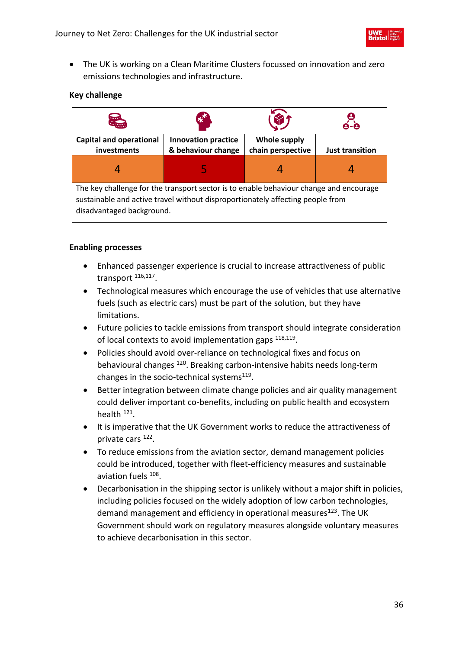

• The UK is working on a Clean Maritime Clusters focussed on innovation and zero emissions technologies and infrastructure.

# **Key challenge**



- Enhanced passenger experience is crucial to increase attractiveness of public transport <sup>116,117</sup>.
- Technological measures which encourage the use of vehicles that use alternative fuels (such as electric cars) must be part of the solution, but they have limitations.
- Future policies to tackle emissions from transport should integrate consideration of local contexts to avoid implementation gaps  $^{118,119}$ .
- Policies should avoid over-reliance on technological fixes and focus on behavioural changes <sup>120</sup>. Breaking carbon-intensive habits needs long-term changes in the socio-technical systems<sup>119</sup>.
- Better integration between climate change policies and air quality management could deliver important co-benefits, including on public health and ecosystem health <sup>121</sup>.
- It is imperative that the UK Government works to reduce the attractiveness of private cars <sup>122</sup>.
- To reduce emissions from the aviation sector, demand management policies could be introduced, together with fleet-efficiency measures and sustainable aviation fuels <sup>108</sup>.
- Decarbonisation in the shipping sector is unlikely without a major shift in policies, including policies focused on the widely adoption of low carbon technologies, demand management and efficiency in operational measures $123$ . The UK Government should work on regulatory measures alongside voluntary measures to achieve decarbonisation in this sector.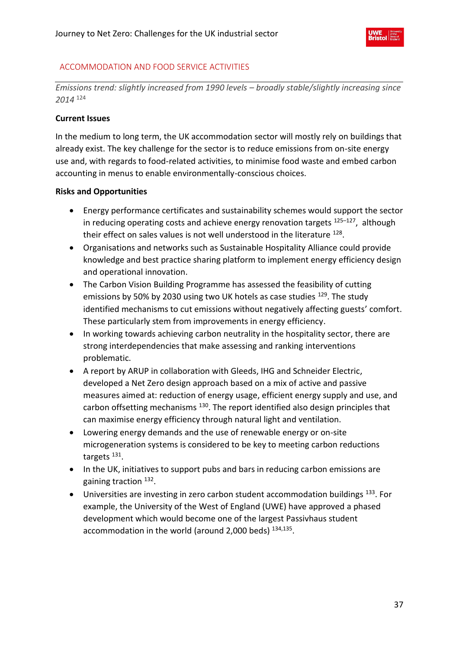## ACCOMMODATION AND FOOD SERVICE ACTIVITIES

*Emissions trend: slightly increased from 1990 levels – broadly stable/slightly increasing since 2014* <sup>124</sup>

## **Current Issues**

In the medium to long term, the UK accommodation sector will mostly rely on buildings that already exist. The key challenge for the sector is to reduce emissions from on-site energy use and, with regards to food-related activities, to minimise food waste and embed carbon accounting in menus to enable environmentally-conscious choices.

## **Risks and Opportunities**

- Energy performance certificates and sustainability schemes would support the sector in reducing operating costs and achieve energy renovation targets <sup>125-127</sup>, although their effect on sales values is not well understood in the literature <sup>128</sup>.
- Organisations and networks such as Sustainable Hospitality Alliance could provide knowledge and best practice sharing platform to implement energy efficiency design and operational innovation.
- The Carbon Vision Building Programme has assessed the feasibility of cutting emissions by 50% by 2030 using two UK hotels as case studies <sup>129</sup>. The study identified mechanisms to cut emissions without negatively affecting guests' comfort. These particularly stem from improvements in energy efficiency.
- In working towards achieving carbon neutrality in the hospitality sector, there are strong interdependencies that make assessing and ranking interventions problematic.
- A report by ARUP in collaboration with Gleeds, IHG and Schneider Electric, developed a Net Zero design approach based on a mix of active and passive measures aimed at: reduction of energy usage, efficient energy supply and use, and carbon offsetting mechanisms <sup>130</sup>. The report identified also design principles that can maximise energy efficiency through natural light and ventilation.
- Lowering energy demands and the use of renewable energy or on-site microgeneration systems is considered to be key to meeting carbon reductions targets<sup>131</sup>.
- In the UK, initiatives to support pubs and bars in reducing carbon emissions are gaining traction <sup>132</sup>.
- Universities are investing in zero carbon student accommodation buildings <sup>133</sup>. For example, the University of the West of England (UWE) have approved a phased development which would become one of the largest Passivhaus student accommodation in the world (around 2,000 beds) <sup>134,135</sup>.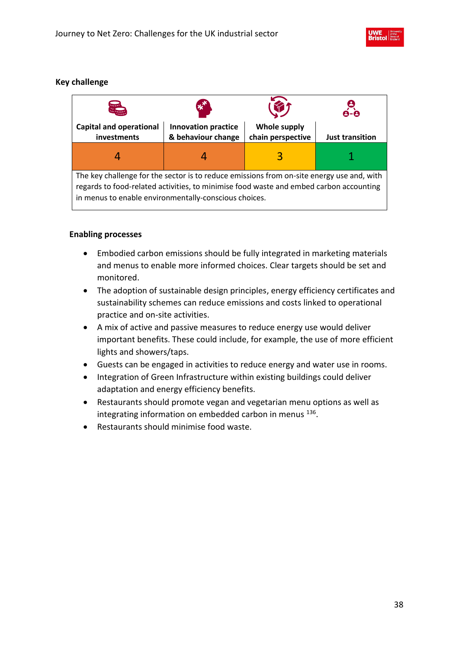# **Key challenge**



- Embodied carbon emissions should be fully integrated in marketing materials and menus to enable more informed choices. Clear targets should be set and monitored.
- The adoption of sustainable design principles, energy efficiency certificates and sustainability schemes can reduce emissions and costs linked to operational practice and on-site activities.
- A mix of active and passive measures to reduce energy use would deliver important benefits. These could include, for example, the use of more efficient lights and showers/taps.
- Guests can be engaged in activities to reduce energy and water use in rooms.
- Integration of Green Infrastructure within existing buildings could deliver adaptation and energy efficiency benefits.
- Restaurants should promote vegan and vegetarian menu options as well as integrating information on embedded carbon in menus <sup>136</sup>.
- Restaurants should minimise food waste.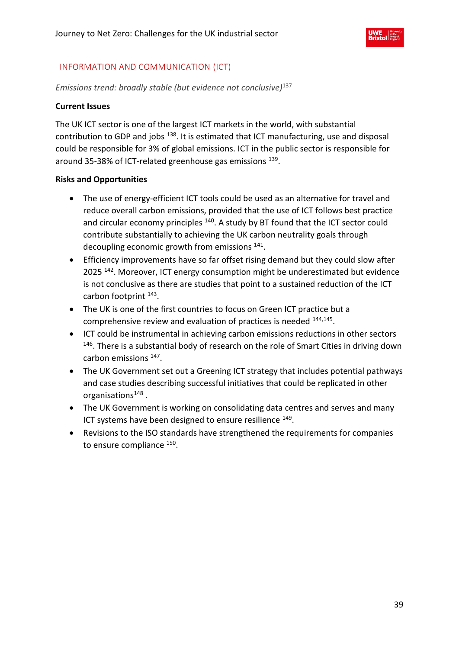

## INFORMATION AND COMMUNICATION (ICT)

*Emissions trend: broadly stable (but evidence not conclusive)*<sup>137</sup>

## **Current Issues**

The UK ICT sector is one of the largest ICT markets in the world, with substantial contribution to GDP and jobs <sup>138</sup>. It is estimated that ICT manufacturing, use and disposal could be responsible for 3% of global emissions. ICT in the public sector is responsible for around 35-38% of ICT-related greenhouse gas emissions <sup>139</sup>.

## **Risks and Opportunities**

- The use of energy-efficient ICT tools could be used as an alternative for travel and reduce overall carbon emissions, provided that the use of ICT follows best practice and circular economy principles <sup>140</sup>. A study by BT found that the ICT sector could contribute substantially to achieving the UK carbon neutrality goals through decoupling economic growth from emissions <sup>141</sup>.
- Efficiency improvements have so far offset rising demand but they could slow after 2025<sup>142</sup>. Moreover, ICT energy consumption might be underestimated but evidence is not conclusive as there are studies that point to a sustained reduction of the ICT carbon footprint <sup>143</sup>.
- The UK is one of the first countries to focus on Green ICT practice but a comprehensive review and evaluation of practices is needed <sup>144,145</sup>.
- ICT could be instrumental in achieving carbon emissions reductions in other sectors <sup>146</sup>. There is a substantial body of research on the role of Smart Cities in driving down carbon emissions <sup>147</sup>.
- The UK Government set out a Greening ICT strategy that includes potential pathways and case studies describing successful initiatives that could be replicated in other organisations<sup>148</sup>.
- The UK Government is working on consolidating data centres and serves and many ICT systems have been designed to ensure resilience <sup>149</sup>.
- Revisions to the ISO standards have strengthened the requirements for companies to ensure compliance <sup>150</sup>.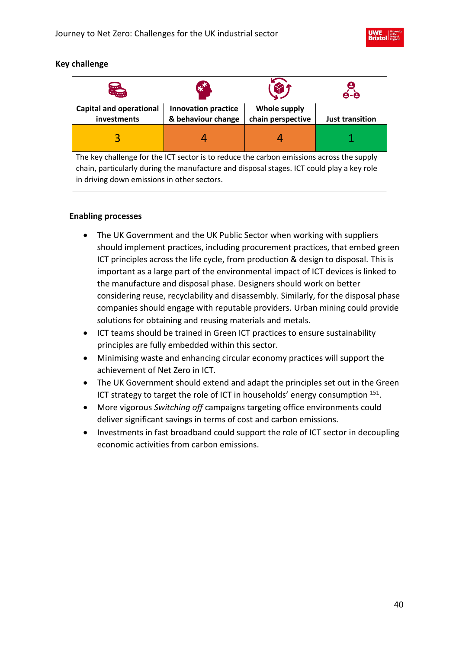

## **Key challenge**

| <b>Season</b>                                                                                                                                                                                                                        | $\boldsymbol{\ast}^{\boldsymbol{\pi}}$           |                                          |                        |  |
|--------------------------------------------------------------------------------------------------------------------------------------------------------------------------------------------------------------------------------------|--------------------------------------------------|------------------------------------------|------------------------|--|
| <b>Capital and operational</b><br>investments                                                                                                                                                                                        | <b>Innovation practice</b><br>& behaviour change | <b>Whole supply</b><br>chain perspective | <b>Just transition</b> |  |
| 3                                                                                                                                                                                                                                    |                                                  |                                          |                        |  |
| The key challenge for the ICT sector is to reduce the carbon emissions across the supply<br>chain, particularly during the manufacture and disposal stages. ICT could play a key role<br>in driving down emissions in other sectors. |                                                  |                                          |                        |  |

- The UK Government and the UK Public Sector when working with suppliers should implement practices, including procurement practices, that embed green ICT principles across the life cycle, from production & design to disposal. This is important as a large part of the environmental impact of ICT devices is linked to the manufacture and disposal phase. Designers should work on better considering reuse, recyclability and disassembly. Similarly, for the disposal phase companies should engage with reputable providers. Urban mining could provide solutions for obtaining and reusing materials and metals.
- ICT teams should be trained in Green ICT practices to ensure sustainability principles are fully embedded within this sector.
- Minimising waste and enhancing circular economy practices will support the achievement of Net Zero in ICT.
- The UK Government should extend and adapt the principles set out in the Green ICT strategy to target the role of ICT in households' energy consumption  $151$ .
- More vigorous *Switching off* campaigns targeting office environments could deliver significant savings in terms of cost and carbon emissions.
- Investments in fast broadband could support the role of ICT sector in decoupling economic activities from carbon emissions.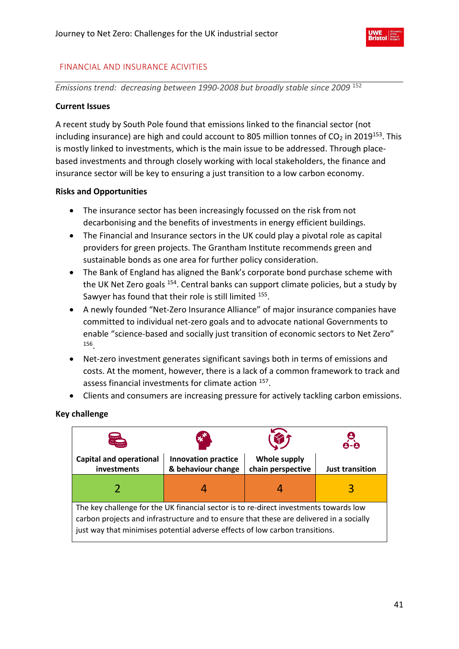

## FINANCIAL AND INSURANCE ACIVITIES

*Emissions trend: decreasing between 1990-2008 but broadly stable since 2009* <sup>152</sup>

## **Current Issues**

A recent study by South Pole found that emissions linked to the financial sector (not including insurance) are high and could account to 805 million tonnes of  $CO<sub>2</sub>$  in 2019<sup>153</sup>. This is mostly linked to investments, which is the main issue to be addressed. Through placebased investments and through closely working with local stakeholders, the finance and insurance sector will be key to ensuring a just transition to a low carbon economy.

## **Risks and Opportunities**

- The insurance sector has been increasingly focussed on the risk from not decarbonising and the benefits of investments in energy efficient buildings.
- The Financial and Insurance sectors in the UK could play a pivotal role as capital providers for green projects. The Grantham Institute recommends green and sustainable bonds as one area for further policy consideration.
- The Bank of England has aligned the Bank's corporate bond purchase scheme with the UK Net Zero goals <sup>154</sup>. Central banks can support climate policies, but a study by Sawyer has found that their role is still limited <sup>155</sup>.
- A newly founded "Net-Zero Insurance Alliance" of major insurance companies have committed to individual net-zero goals and to advocate national Governments to enable "science-based and socially just transition of economic sectors to Net Zero" 156 .
- Net-zero investment generates significant savings both in terms of emissions and costs. At the moment, however, there is a lack of a common framework to track and assess financial investments for climate action <sup>157</sup>.
- Clients and consumers are increasing pressure for actively tackling carbon emissions.

## **Key challenge**

| <b>Season</b>                                                                                                                                                                                                                                                    | <b>CANADA</b>                                    |                                          |                        |  |
|------------------------------------------------------------------------------------------------------------------------------------------------------------------------------------------------------------------------------------------------------------------|--------------------------------------------------|------------------------------------------|------------------------|--|
| <b>Capital and operational</b><br>investments                                                                                                                                                                                                                    | <b>Innovation practice</b><br>& behaviour change | <b>Whole supply</b><br>chain perspective | <b>Just transition</b> |  |
|                                                                                                                                                                                                                                                                  |                                                  |                                          | 3                      |  |
| The key challenge for the UK financial sector is to re-direct investments towards low<br>carbon projects and infrastructure and to ensure that these are delivered in a socially<br>just way that minimises potential adverse effects of low carbon transitions. |                                                  |                                          |                        |  |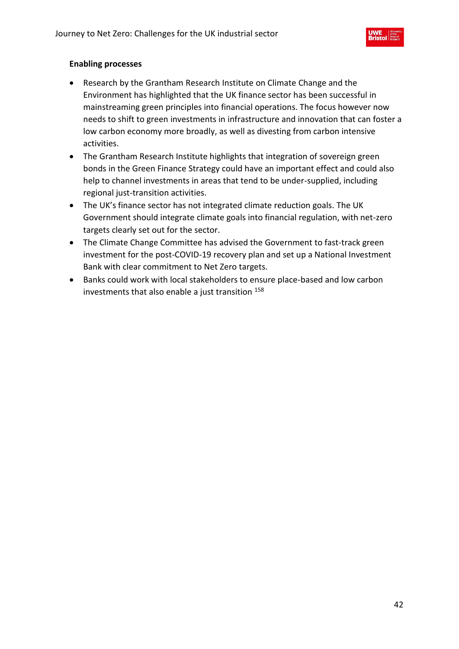

- Research by the Grantham Research Institute on Climate Change and the Environment has highlighted that the UK finance sector has been successful in mainstreaming green principles into financial operations. The focus however now needs to shift to green investments in infrastructure and innovation that can foster a low carbon economy more broadly, as well as divesting from carbon intensive activities.
- The Grantham Research Institute highlights that integration of sovereign green bonds in the Green Finance Strategy could have an important effect and could also help to channel investments in areas that tend to be under-supplied, including regional just-transition activities.
- The UK's finance sector has not integrated climate reduction goals. The UK Government should integrate climate goals into financial regulation, with net-zero targets clearly set out for the sector.
- The Climate Change Committee has advised the Government to fast-track green investment for the post-COVID-19 recovery plan and set up a National Investment Bank with clear commitment to Net Zero targets.
- Banks could work with local stakeholders to ensure place-based and low carbon investments that also enable a just transition 158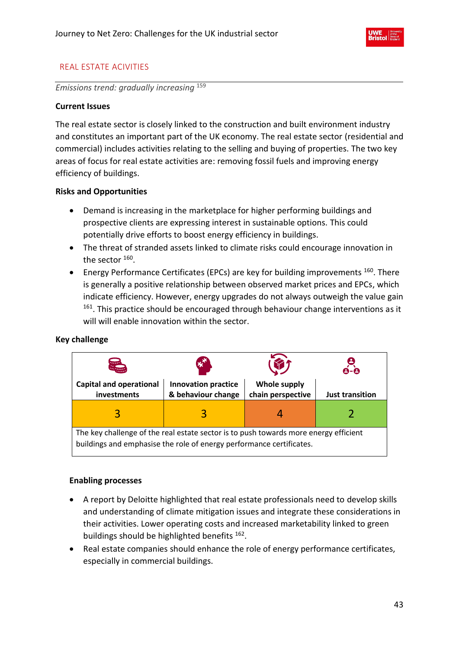

## REAL ESTATE ACIVITIES

*Emissions trend: gradually increasing* <sup>159</sup>

## **Current Issues**

The real estate sector is closely linked to the construction and built environment industry and constitutes an important part of the UK economy. The real estate sector (residential and commercial) includes activities relating to the selling and buying of properties. The two key areas of focus for real estate activities are: removing fossil fuels and improving energy efficiency of buildings.

## **Risks and Opportunities**

- Demand is increasing in the marketplace for higher performing buildings and prospective clients are expressing interest in sustainable options. This could potentially drive efforts to boost energy efficiency in buildings.
- The threat of stranded assets linked to climate risks could encourage innovation in the sector  $^{160}$ .
- Energy Performance Certificates (EPCs) are key for building improvements  $160$ . There is generally a positive relationship between observed market prices and EPCs, which indicate efficiency. However, energy upgrades do not always outweigh the value gain <sup>161</sup>. This practice should be encouraged through behaviour change interventions as it will will enable innovation within the sector.

# **Capital and operational investments Innovation practice & behaviour change Whole supply chain perspective Just transition** 3 3 4 2 The key challenge of the real estate sector is to push towards more energy efficient buildings and emphasise the role of energy performance certificates.

## **Key challenge**

- A report by Deloitte highlighted that real estate professionals need to develop skills and understanding of climate mitigation issues and integrate these considerations in their activities. Lower operating costs and increased marketability linked to green buildings should be highlighted benefits <sup>162</sup>.
- Real estate companies should enhance the role of energy performance certificates, especially in commercial buildings.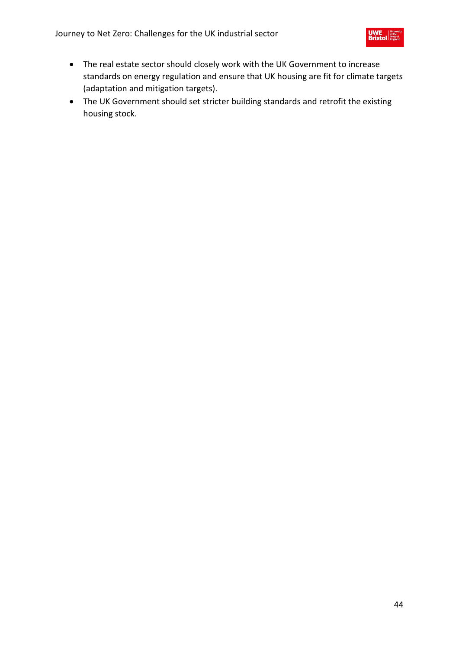

- The real estate sector should closely work with the UK Government to increase standards on energy regulation and ensure that UK housing are fit for climate targets (adaptation and mitigation targets).
- The UK Government should set stricter building standards and retrofit the existing housing stock.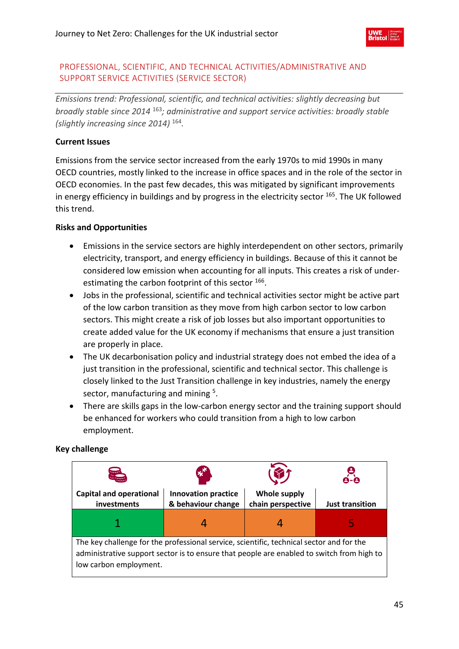## PROFESSIONAL, SCIENTIFIC, AND TECHNICAL ACTIVITIES/ADMINISTRATIVE AND SUPPORT SERVICE ACTIVITIES (SERVICE SECTOR)

*Emissions trend: Professional, scientific, and technical activities: slightly decreasing but broadly stable since 2014* <sup>163</sup>*; administrative and support service activities: broadly stable (slightly increasing since 2014)* <sup>164</sup> *.* 

# **Current Issues**

Emissions from the service sector increased from the early 1970s to mid 1990s in many OECD countries, mostly linked to the increase in office spaces and in the role of the sector in OECD economies. In the past few decades, this was mitigated by significant improvements in energy efficiency in buildings and by progress in the electricity sector  $165$ . The UK followed this trend.

## **Risks and Opportunities**

- Emissions in the service sectors are highly interdependent on other sectors, primarily electricity, transport, and energy efficiency in buildings. Because of this it cannot be considered low emission when accounting for all inputs. This creates a risk of underestimating the carbon footprint of this sector <sup>166</sup>.
- Jobs in the professional, scientific and technical activities sector might be active part of the low carbon transition as they move from high carbon sector to low carbon sectors. This might create a risk of job losses but also important opportunities to create added value for the UK economy if mechanisms that ensure a just transition are properly in place.
- The UK decarbonisation policy and industrial strategy does not embed the idea of a just transition in the professional, scientific and technical sector. This challenge is closely linked to the Just Transition challenge in key industries, namely the energy sector, manufacturing and mining <sup>5</sup>.
- There are skills gaps in the low-carbon energy sector and the training support should be enhanced for workers who could transition from a high to low carbon employment.

## **Key challenge**

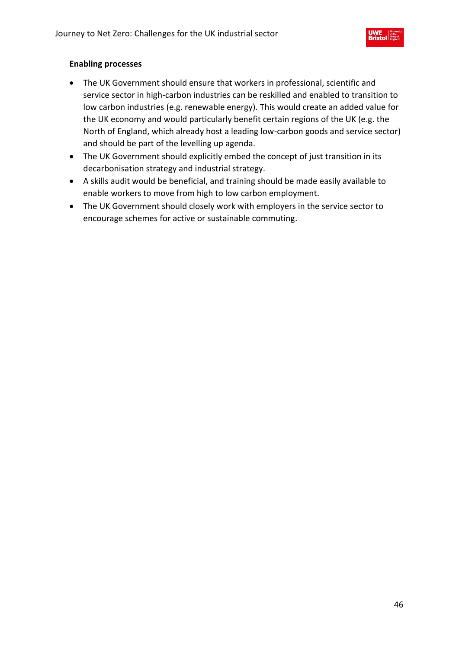

- The UK Government should ensure that workers in professional, scientific and service sector in high-carbon industries can be reskilled and enabled to transition to low carbon industries (e.g. renewable energy). This would create an added value for the UK economy and would particularly benefit certain regions of the UK (e.g. the North of England, which already host a leading low-carbon goods and service sector) and should be part of the levelling up agenda.
- The UK Government should explicitly embed the concept of just transition in its decarbonisation strategy and industrial strategy.
- A skills audit would be beneficial, and training should be made easily available to enable workers to move from high to low carbon employment.
- The UK Government should closely work with employers in the service sector to encourage schemes for active or sustainable commuting.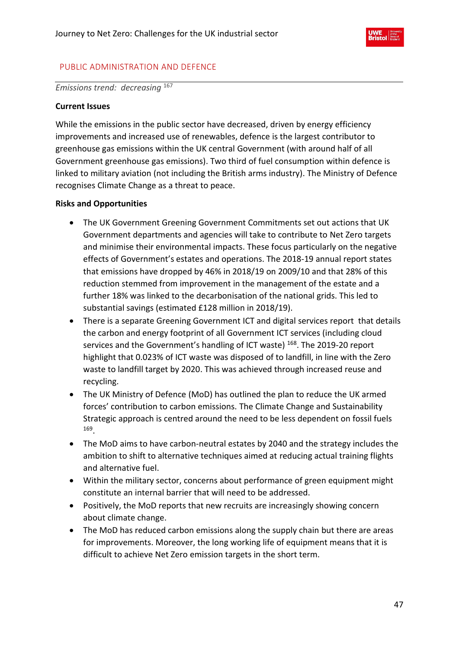

## PUBLIC ADMINISTRATION AND DEFENCE

*Emissions trend: decreasing* <sup>167</sup>

## **Current Issues**

While the emissions in the public sector have decreased, driven by energy efficiency improvements and increased use of renewables, defence is the largest contributor to greenhouse gas emissions within the UK central Government (with around half of all Government greenhouse gas emissions). Two third of fuel consumption within defence is linked to military aviation (not including the British arms industry). The Ministry of Defence recognises Climate Change as a threat to peace.

## **Risks and Opportunities**

- The UK Government Greening Government Commitments set out actions that UK Government departments and agencies will take to contribute to Net Zero targets and minimise their environmental impacts. These focus particularly on the negative effects of Government's estates and operations. The 2018-19 annual report states that emissions have dropped by 46% in 2018/19 on 2009/10 and that 28% of this reduction stemmed from improvement in the management of the estate and a further 18% was linked to the decarbonisation of the national grids. This led to substantial savings (estimated £128 million in 2018/19).
- There is a separate Greening Government ICT and digital services report that details the carbon and energy footprint of all Government ICT services (including cloud services and the Government's handling of ICT waste) <sup>168</sup>. The 2019-20 report highlight that 0.023% of ICT waste was disposed of to landfill, in line with the Zero waste to landfill target by 2020. This was achieved through increased reuse and recycling.
- The UK Ministry of Defence (MoD) has outlined the plan to reduce the UK armed forces' contribution to carbon emissions. The Climate Change and Sustainability Strategic approach is centred around the need to be less dependent on fossil fuels 169 .
- The MoD aims to have carbon-neutral estates by 2040 and the strategy includes the ambition to shift to alternative techniques aimed at reducing actual training flights and alternative fuel.
- Within the military sector, concerns about performance of green equipment might constitute an internal barrier that will need to be addressed.
- Positively, the MoD reports that new recruits are increasingly showing concern about climate change.
- The MoD has reduced carbon emissions along the supply chain but there are areas for improvements. Moreover, the long working life of equipment means that it is difficult to achieve Net Zero emission targets in the short term.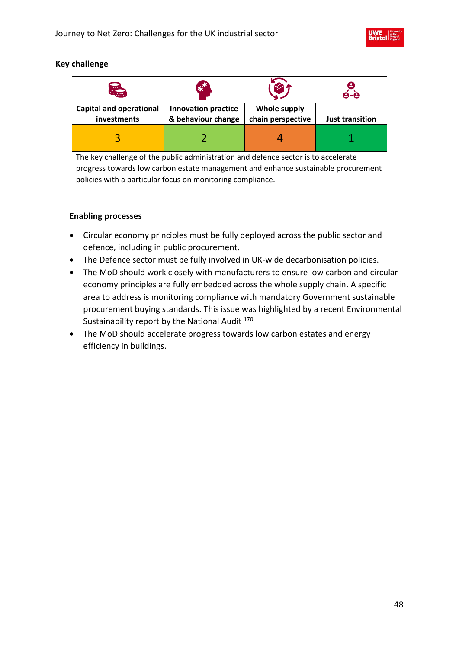

## **Key challenge**

| A                                                                                                                                                                                                                                     | $\mathbf{x}^{\mathbf{x}}$                        |                                   |                        |  |
|---------------------------------------------------------------------------------------------------------------------------------------------------------------------------------------------------------------------------------------|--------------------------------------------------|-----------------------------------|------------------------|--|
| <b>Capital and operational</b><br>investments                                                                                                                                                                                         | <b>Innovation practice</b><br>& behaviour change | Whole supply<br>chain perspective | <b>Just transition</b> |  |
| 3                                                                                                                                                                                                                                     |                                                  |                                   |                        |  |
| The key challenge of the public administration and defence sector is to accelerate<br>progress towards low carbon estate management and enhance sustainable procurement<br>policies with a particular focus on monitoring compliance. |                                                  |                                   |                        |  |

- Circular economy principles must be fully deployed across the public sector and defence, including in public procurement.
- The Defence sector must be fully involved in UK-wide decarbonisation policies.
- The MoD should work closely with manufacturers to ensure low carbon and circular economy principles are fully embedded across the whole supply chain. A specific area to address is monitoring compliance with mandatory Government sustainable procurement buying standards. This issue was highlighted by a recent Environmental Sustainability report by the National Audit 170
- The MoD should accelerate progress towards low carbon estates and energy efficiency in buildings.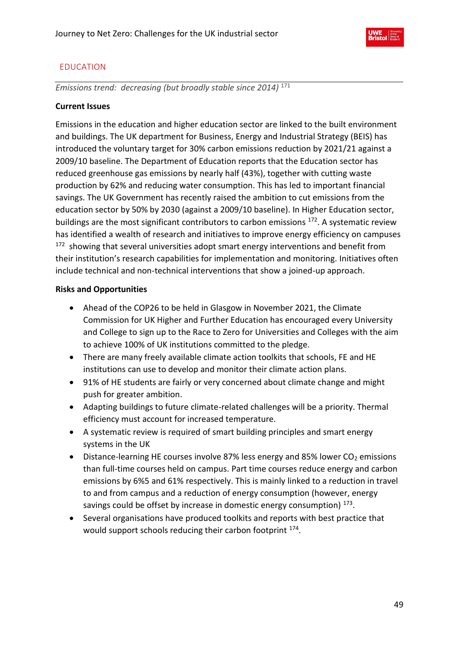

# EDUCATION

*Emissions trend: decreasing (but broadly stable since 2014)* <sup>171</sup>

## **Current Issues**

Emissions in the education and higher education sector are linked to the built environment and buildings. The UK department for Business, Energy and Industrial Strategy (BEIS) has introduced the voluntary target for 30% carbon emissions reduction by 2021/21 against a 2009/10 baseline. The Department of Education reports that the Education sector has reduced greenhouse gas emissions by nearly half (43%), together with cutting waste production by 62% and reducing water consumption. This has led to important financial savings. The UK Government has recently raised the ambition to cut emissions from the education sector by 50% by 2030 (against a 2009/10 baseline). In Higher Education sector, buildings are the most significant contributors to carbon emissions <sup>172</sup>. A systematic review has identified a wealth of research and initiatives to improve energy efficiency on campuses <sup>172</sup> showing that several universities adopt smart energy interventions and benefit from their institution's research capabilities for implementation and monitoring. Initiatives often include technical and non-technical interventions that show a joined-up approach.

### **Risks and Opportunities**

- Ahead of the COP26 to be held in Glasgow in November 2021, the Climate Commission for UK Higher and Further Education has encouraged every University and College to sign up to the Race to Zero for Universities and Colleges with the aim to achieve 100% of UK institutions committed to the pledge.
- There are many freely available climate action toolkits that schools, FE and HE institutions can use to develop and monitor their climate action plans.
- 91% of HE students are fairly or very concerned about climate change and might push for greater ambition.
- Adapting buildings to future climate-related challenges will be a priority. Thermal efficiency must account for increased temperature.
- A systematic review is required of smart building principles and smart energy systems in the UK
- Distance-learning HE courses involve 87% less energy and 85% lower  $CO<sub>2</sub>$  emissions than full-time courses held on campus. Part time courses reduce energy and carbon emissions by 6%5 and 61% respectively. This is mainly linked to a reduction in travel to and from campus and a reduction of energy consumption (however, energy savings could be offset by increase in domestic energy consumption) <sup>173</sup>.
- Several organisations have produced toolkits and reports with best practice that would support schools reducing their carbon footprint <sup>174</sup>.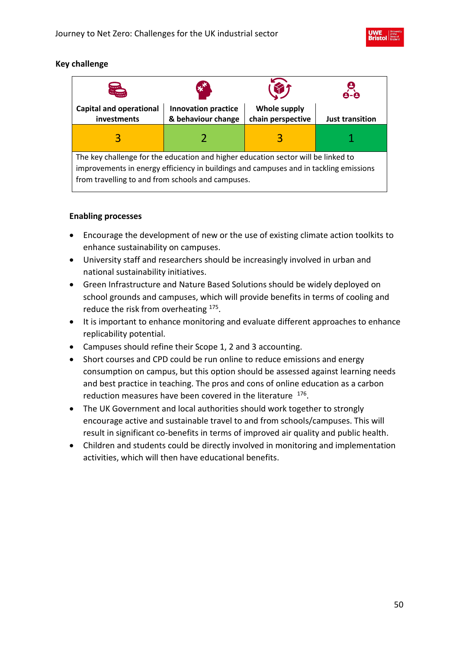

## **Key challenge**

| 是                                                                                                                                                                                                                               | $\mathbf{x}^{\prime}$                            |                                          |                        |
|---------------------------------------------------------------------------------------------------------------------------------------------------------------------------------------------------------------------------------|--------------------------------------------------|------------------------------------------|------------------------|
| <b>Capital and operational</b><br>investments                                                                                                                                                                                   | <b>Innovation practice</b><br>& behaviour change | <b>Whole supply</b><br>chain perspective | <b>Just transition</b> |
|                                                                                                                                                                                                                                 |                                                  |                                          |                        |
| The key challenge for the education and higher education sector will be linked to<br>improvements in energy efficiency in buildings and campuses and in tackling emissions<br>from travelling to and from schools and campuses. |                                                  |                                          |                        |

- Encourage the development of new or the use of existing climate action toolkits to enhance sustainability on campuses.
- University staff and researchers should be increasingly involved in urban and national sustainability initiatives.
- Green Infrastructure and Nature Based Solutions should be widely deployed on school grounds and campuses, which will provide benefits in terms of cooling and reduce the risk from overheating <sup>175</sup>.
- It is important to enhance monitoring and evaluate different approaches to enhance replicability potential.
- Campuses should refine their Scope 1, 2 and 3 accounting.
- Short courses and CPD could be run online to reduce emissions and energy consumption on campus, but this option should be assessed against learning needs and best practice in teaching. The pros and cons of online education as a carbon reduction measures have been covered in the literature  $176$ .
- The UK Government and local authorities should work together to strongly encourage active and sustainable travel to and from schools/campuses. This will result in significant co-benefits in terms of improved air quality and public health.
- Children and students could be directly involved in monitoring and implementation activities, which will then have educational benefits.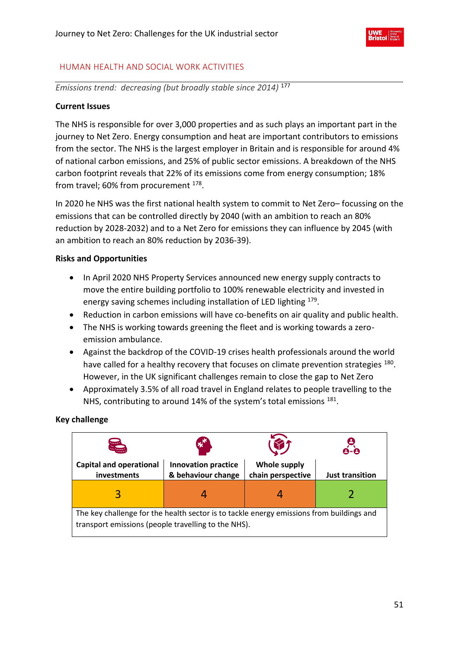

## HUMAN HEALTH AND SOCIAL WORK ACTIVITIES

*Emissions trend: decreasing (but broadly stable since 2014)* <sup>177</sup>

#### **Current Issues**

The NHS is responsible for over 3,000 properties and as such plays an important part in the journey to Net Zero. Energy consumption and heat are important contributors to emissions from the sector. The NHS is the largest employer in Britain and is responsible for around 4% of national carbon emissions, and 25% of public sector emissions. A breakdown of the NHS carbon footprint reveals that 22% of its emissions come from energy consumption; 18% from travel; 60% from procurement <sup>178</sup>.

In 2020 he NHS was the first national health system to commit to Net Zero– focussing on the emissions that can be controlled directly by 2040 (with an ambition to reach an 80% reduction by 2028-2032) and to a Net Zero for emissions they can influence by 2045 (with an ambition to reach an 80% reduction by 2036-39).

### **Risks and Opportunities**

- In April 2020 NHS Property Services announced new energy supply contracts to move the entire building portfolio to 100% renewable electricity and invested in energy saving schemes including installation of LED lighting <sup>179</sup>.
- Reduction in carbon emissions will have co-benefits on air quality and public health.
- The NHS is working towards greening the fleet and is working towards a zeroemission ambulance.
- Against the backdrop of the COVID-19 crises health professionals around the world have called for a healthy recovery that focuses on climate prevention strategies 180. However, in the UK significant challenges remain to close the gap to Net Zero
- Approximately 3.5% of all road travel in England relates to people travelling to the NHS, contributing to around 14% of the system's total emissions <sup>181</sup>.

**Key challenge**

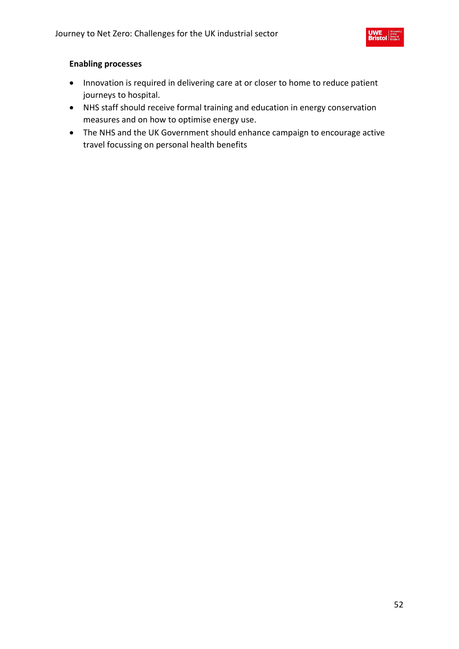

- Innovation is required in delivering care at or closer to home to reduce patient journeys to hospital.
- NHS staff should receive formal training and education in energy conservation measures and on how to optimise energy use.
- The NHS and the UK Government should enhance campaign to encourage active travel focussing on personal health benefits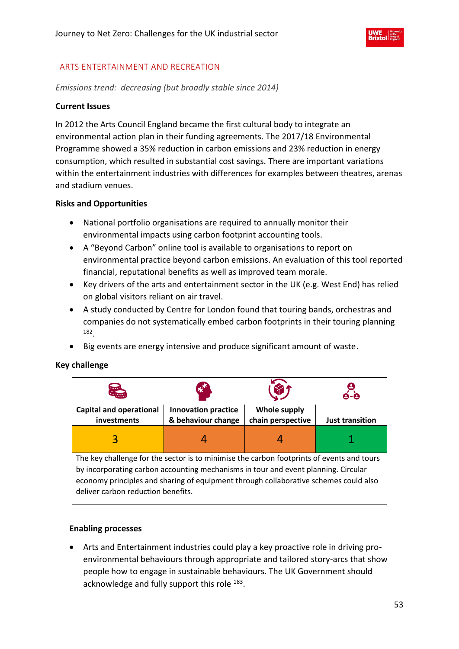

## ARTS ENTERTAINMENT AND RECREATION

*Emissions trend: decreasing (but broadly stable since 2014)*

#### **Current Issues**

In 2012 the Arts Council England became the first cultural body to integrate an environmental action plan in their funding agreements. The 2017/18 Environmental Programme showed a 35% reduction in carbon emissions and 23% reduction in energy consumption, which resulted in substantial cost savings. There are important variations within the entertainment industries with differences for examples between theatres, arenas and stadium venues.

#### **Risks and Opportunities**

- National portfolio organisations are required to annually monitor their environmental impacts using carbon footprint accounting tools.
- A "Beyond Carbon" online tool is available to organisations to report on environmental practice beyond carbon emissions. An evaluation of this tool reported financial, reputational benefits as well as improved team morale.
- Key drivers of the arts and entertainment sector in the UK (e.g. West End) has relied on global visitors reliant on air travel.
- A study conducted by Centre for London found that touring bands, orchestras and companies do not systematically embed carbon footprints in their touring planning 182 .
- Big events are energy intensive and produce significant amount of waste.

### **Key challenge**



#### **Enabling processes**

• Arts and Entertainment industries could play a key proactive role in driving proenvironmental behaviours through appropriate and tailored story-arcs that show people how to engage in sustainable behaviours. The UK Government should acknowledge and fully support this role <sup>183</sup>.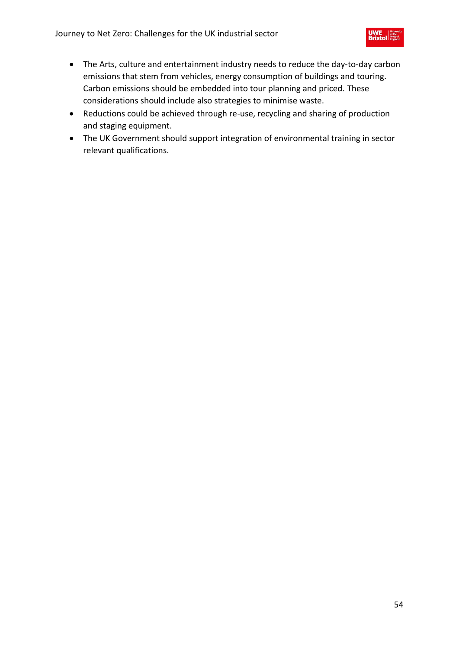- The Arts, culture and entertainment industry needs to reduce the day-to-day carbon emissions that stem from vehicles, energy consumption of buildings and touring. Carbon emissions should be embedded into tour planning and priced. These considerations should include also strategies to minimise waste.
- Reductions could be achieved through re-use, recycling and sharing of production and staging equipment.
- The UK Government should support integration of environmental training in sector relevant qualifications.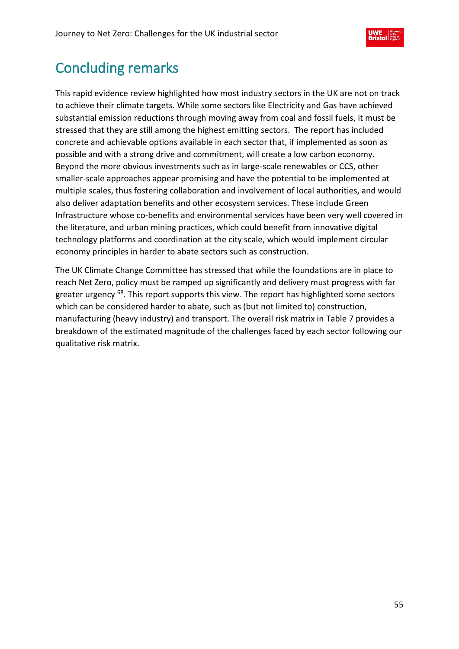

# Concluding remarks

This rapid evidence review highlighted how most industry sectors in the UK are not on track to achieve their climate targets. While some sectors like Electricity and Gas have achieved substantial emission reductions through moving away from coal and fossil fuels, it must be stressed that they are still among the highest emitting sectors. The report has included concrete and achievable options available in each sector that, if implemented as soon as possible and with a strong drive and commitment, will create a low carbon economy. Beyond the more obvious investments such as in large-scale renewables or CCS, other smaller-scale approaches appear promising and have the potential to be implemented at multiple scales, thus fostering collaboration and involvement of local authorities, and would also deliver adaptation benefits and other ecosystem services. These include Green Infrastructure whose co-benefits and environmental services have been very well covered in the literature, and urban mining practices, which could benefit from innovative digital technology platforms and coordination at the city scale, which would implement circular economy principles in harder to abate sectors such as construction.

The UK Climate Change Committee has stressed that while the foundations are in place to reach Net Zero, policy must be ramped up significantly and delivery must progress with far greater urgency <sup>68</sup>. This report supports this view. The report has highlighted some sectors which can be considered harder to abate, such as (but not limited to) construction, manufacturing (heavy industry) and transport. The overall risk matrix in [Table 7](#page-55-0) provides a breakdown of the estimated magnitude of the challenges faced by each sector following our qualitative risk matrix.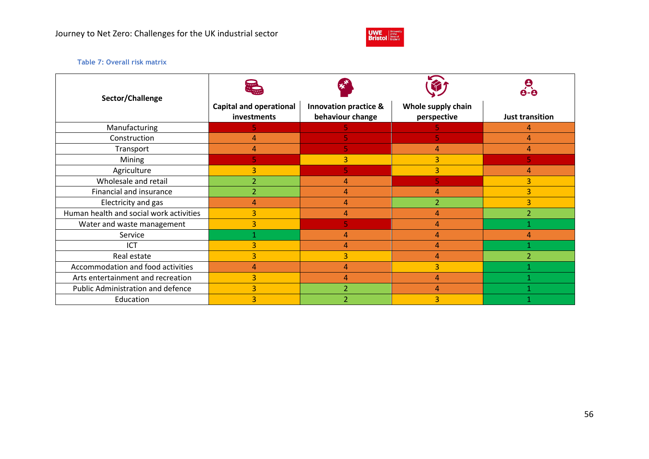

#### **Table 7: Overall risk matrix**

<span id="page-55-0"></span>

| Sector/Challenge                        |                                               |                                                      |                                   |                        |
|-----------------------------------------|-----------------------------------------------|------------------------------------------------------|-----------------------------------|------------------------|
|                                         | <b>Capital and operational</b><br>investments | <b>Innovation practice &amp;</b><br>behaviour change | Whole supply chain<br>perspective | <b>Just transition</b> |
| Manufacturing                           |                                               |                                                      |                                   |                        |
| Construction                            | 4                                             |                                                      |                                   | 4                      |
| Transport                               | 4                                             |                                                      | 4                                 | 4                      |
| Mining                                  |                                               | 3                                                    | 3                                 |                        |
| Agriculture                             | 3                                             | 5.                                                   | 3                                 | 4                      |
| Wholesale and retail                    | 2                                             | 4                                                    |                                   | 3                      |
| Financial and insurance                 | $\overline{2}$                                | 4                                                    | 4                                 | 3                      |
| Electricity and gas                     | 4                                             | 4                                                    |                                   | 3                      |
| Human health and social work activities | 3                                             | 4                                                    | 4                                 |                        |
| Water and waste management              | 3                                             |                                                      | Δ                                 |                        |
| Service                                 |                                               | 4                                                    | 4                                 |                        |
| ICT                                     | 3                                             | 4                                                    | 4                                 |                        |
| Real estate                             | 3                                             | $\overline{3}$                                       | 4                                 |                        |
| Accommodation and food activities       | 4                                             | 4                                                    | 3                                 |                        |
| Arts entertainment and recreation       | 3                                             | 4                                                    | 4                                 |                        |
| Public Administration and defence       | 3                                             | $\overline{2}$                                       |                                   |                        |
| Education                               | 3                                             |                                                      |                                   |                        |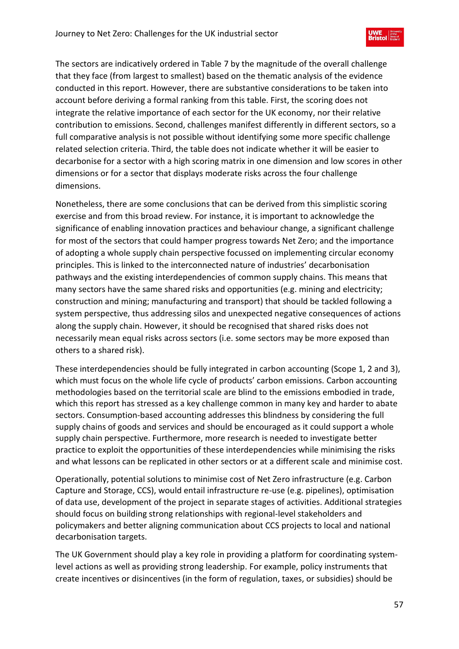The sectors are indicatively ordered in Table 7 by the magnitude of the overall challenge that they face (from largest to smallest) based on the thematic analysis of the evidence conducted in this report. However, there are substantive considerations to be taken into account before deriving a formal ranking from this table. First, the scoring does not integrate the relative importance of each sector for the UK economy, nor their relative contribution to emissions. Second, challenges manifest differently in different sectors, so a full comparative analysis is not possible without identifying some more specific challenge related selection criteria. Third, the table does not indicate whether it will be easier to decarbonise for a sector with a high scoring matrix in one dimension and low scores in other dimensions or for a sector that displays moderate risks across the four challenge dimensions.

Nonetheless, there are some conclusions that can be derived from this simplistic scoring exercise and from this broad review. For instance, it is important to acknowledge the significance of enabling innovation practices and behaviour change, a significant challenge for most of the sectors that could hamper progress towards Net Zero; and the importance of adopting a whole supply chain perspective focussed on implementing circular economy principles. This is linked to the interconnected nature of industries' decarbonisation pathways and the existing interdependencies of common supply chains. This means that many sectors have the same shared risks and opportunities (e.g. mining and electricity; construction and mining; manufacturing and transport) that should be tackled following a system perspective, thus addressing silos and unexpected negative consequences of actions along the supply chain. However, it should be recognised that shared risks does not necessarily mean equal risks across sectors (i.e. some sectors may be more exposed than others to a shared risk).

These interdependencies should be fully integrated in carbon accounting (Scope 1, 2 and 3), which must focus on the whole life cycle of products' carbon emissions. Carbon accounting methodologies based on the territorial scale are blind to the emissions embodied in trade, which this report has stressed as a key challenge common in many key and harder to abate sectors. Consumption-based accounting addresses this blindness by considering the full supply chains of goods and services and should be encouraged as it could support a whole supply chain perspective. Furthermore, more research is needed to investigate better practice to exploit the opportunities of these interdependencies while minimising the risks and what lessons can be replicated in other sectors or at a different scale and minimise cost.

Operationally, potential solutions to minimise cost of Net Zero infrastructure (e.g. Carbon Capture and Storage, CCS), would entail infrastructure re-use (e.g. pipelines), optimisation of data use, development of the project in separate stages of activities. Additional strategies should focus on building strong relationships with regional-level stakeholders and policymakers and better aligning communication about CCS projects to local and national decarbonisation targets.

The UK Government should play a key role in providing a platform for coordinating systemlevel actions as well as providing strong leadership. For example, policy instruments that create incentives or disincentives (in the form of regulation, taxes, or subsidies) should be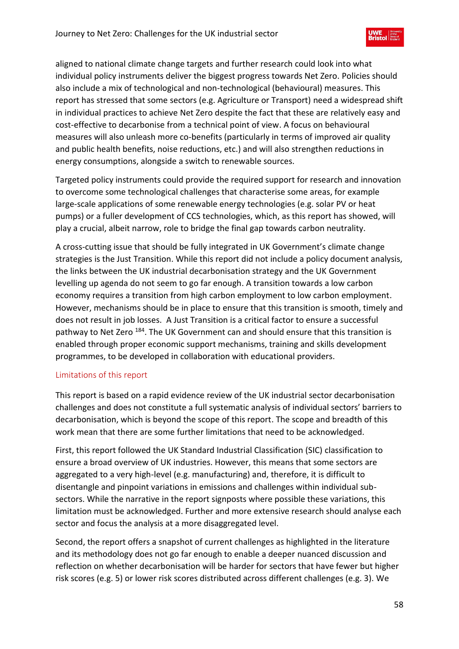aligned to national climate change targets and further research could look into what individual policy instruments deliver the biggest progress towards Net Zero. Policies should also include a mix of technological and non-technological (behavioural) measures. This report has stressed that some sectors (e.g. Agriculture or Transport) need a widespread shift in individual practices to achieve Net Zero despite the fact that these are relatively easy and cost-effective to decarbonise from a technical point of view. A focus on behavioural measures will also unleash more co-benefits (particularly in terms of improved air quality and public health benefits, noise reductions, etc.) and will also strengthen reductions in energy consumptions, alongside a switch to renewable sources.

Targeted policy instruments could provide the required support for research and innovation to overcome some technological challenges that characterise some areas, for example large-scale applications of some renewable energy technologies (e.g. solar PV or heat pumps) or a fuller development of CCS technologies, which, as this report has showed, will play a crucial, albeit narrow, role to bridge the final gap towards carbon neutrality.

A cross-cutting issue that should be fully integrated in UK Government's climate change strategies is the Just Transition. While this report did not include a policy document analysis, the links between the UK industrial decarbonisation strategy and the UK Government levelling up agenda do not seem to go far enough. A transition towards a low carbon economy requires a transition from high carbon employment to low carbon employment. However, mechanisms should be in place to ensure that this transition is smooth, timely and does not result in job losses. A Just Transition is a critical factor to ensure a successful pathway to Net Zero <sup>184</sup>. The UK Government can and should ensure that this transition is enabled through proper economic support mechanisms, training and skills development programmes, to be developed in collaboration with educational providers.

## Limitations of this report

This report is based on a rapid evidence review of the UK industrial sector decarbonisation challenges and does not constitute a full systematic analysis of individual sectors' barriers to decarbonisation, which is beyond the scope of this report. The scope and breadth of this work mean that there are some further limitations that need to be acknowledged.

First, this report followed the UK Standard Industrial Classification (SIC) classification to ensure a broad overview of UK industries. However, this means that some sectors are aggregated to a very high-level (e.g. manufacturing) and, therefore, it is difficult to disentangle and pinpoint variations in emissions and challenges within individual subsectors. While the narrative in the report signposts where possible these variations, this limitation must be acknowledged. Further and more extensive research should analyse each sector and focus the analysis at a more disaggregated level.

Second, the report offers a snapshot of current challenges as highlighted in the literature and its methodology does not go far enough to enable a deeper nuanced discussion and reflection on whether decarbonisation will be harder for sectors that have fewer but higher risk scores (e.g. 5) or lower risk scores distributed across different challenges (e.g. 3). We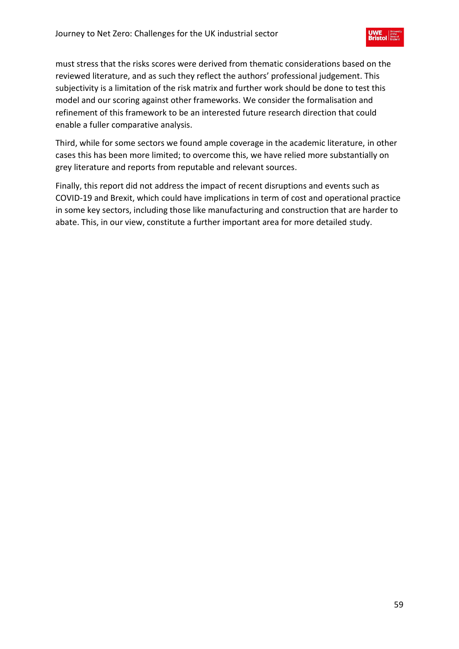must stress that the risks scores were derived from thematic considerations based on the reviewed literature, and as such they reflect the authors' professional judgement. This subjectivity is a limitation of the risk matrix and further work should be done to test this model and our scoring against other frameworks. We consider the formalisation and refinement of this framework to be an interested future research direction that could enable a fuller comparative analysis.

Third, while for some sectors we found ample coverage in the academic literature, in other cases this has been more limited; to overcome this, we have relied more substantially on grey literature and reports from reputable and relevant sources.

Finally, this report did not address the impact of recent disruptions and events such as COVID-19 and Brexit, which could have implications in term of cost and operational practice in some key sectors, including those like manufacturing and construction that are harder to abate. This, in our view, constitute a further important area for more detailed study.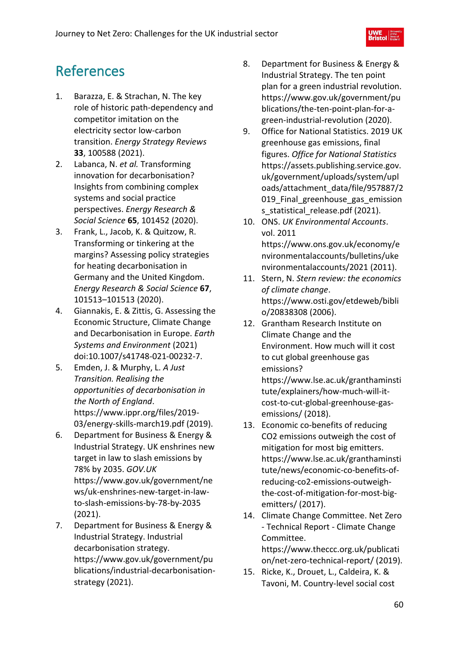# References

- 1. Barazza, E. & Strachan, N. The key role of historic path-dependency and competitor imitation on the electricity sector low-carbon transition. *Energy Strategy Reviews* **33**, 100588 (2021).
- 2. Labanca, N. *et al.* Transforming innovation for decarbonisation? Insights from combining complex systems and social practice perspectives. *Energy Research & Social Science* **65**, 101452 (2020).
- 3. Frank, L., Jacob, K. & Quitzow, R. Transforming or tinkering at the margins? Assessing policy strategies for heating decarbonisation in Germany and the United Kingdom. *Energy Research & Social Science* **67**, 101513–101513 (2020).
- 4. Giannakis, E. & Zittis, G. Assessing the Economic Structure, Climate Change and Decarbonisation in Europe. *Earth Systems and Environment* (2021) doi:10.1007/s41748-021-00232-7.
- 5. Emden, J. & Murphy, L. *A Just Transition. Realising the opportunities of decarbonisation in the North of England*. https://www.ippr.org/files/2019- 03/energy-skills-march19.pdf (2019).
- 6. Department for Business & Energy & Industrial Strategy. UK enshrines new target in law to slash emissions by 78% by 2035. *GOV.UK* https://www.gov.uk/government/ne ws/uk-enshrines-new-target-in-lawto-slash-emissions-by-78-by-2035 (2021).
- 7. Department for Business & Energy & Industrial Strategy. Industrial decarbonisation strategy. https://www.gov.uk/government/pu blications/industrial-decarbonisationstrategy (2021).
- 8. Department for Business & Energy & Industrial Strategy. The ten point plan for a green industrial revolution. https://www.gov.uk/government/pu blications/the-ten-point-plan-for-agreen-industrial-revolution (2020).
- 9. Office for National Statistics. 2019 UK greenhouse gas emissions, final figures. *Office for National Statistics* https://assets.publishing.service.gov. uk/government/uploads/system/upl oads/attachment\_data/file/957887/2 019 Final greenhouse gas emission s statistical release.pdf (2021).
- 10. ONS. *UK Environmental Accounts*. vol. 2011 https://www.ons.gov.uk/economy/e nvironmentalaccounts/bulletins/uke nvironmentalaccounts/2021 (2011).
- 11. Stern, N. *Stern review: the economics of climate change*. https://www.osti.gov/etdeweb/bibli o/20838308 (2006).
- 12. Grantham Research Institute on Climate Change and the Environment. How much will it cost to cut global greenhouse gas emissions? https://www.lse.ac.uk/granthaminsti tute/explainers/how-much-will-itcost-to-cut-global-greenhouse-gasemissions/ (2018).
- 13. Economic co-benefits of reducing CO2 emissions outweigh the cost of mitigation for most big emitters. https://www.lse.ac.uk/granthaminsti tute/news/economic-co-benefits-ofreducing-co2-emissions-outweighthe-cost-of-mitigation-for-most-bigemitters/ (2017).
- 14. Climate Change Committee. Net Zero - Technical Report - Climate Change Committee. https://www.theccc.org.uk/publicati on/net-zero-technical-report/ (2019).
- 15. Ricke, K., Drouet, L., Caldeira, K. & Tavoni, M. Country-level social cost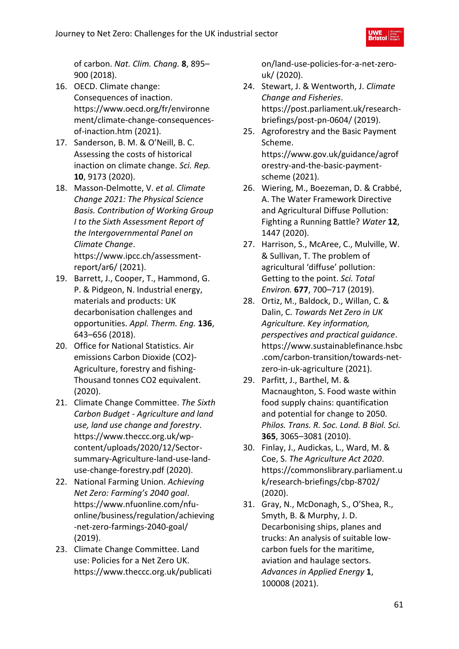of carbon. *Nat. Clim. Chang.* **8**, 895– 900 (2018).

- 16. OECD. Climate change: Consequences of inaction. https://www.oecd.org/fr/environne ment/climate-change-consequencesof-inaction.htm (2021).
- 17. Sanderson, B. M. & O'Neill, B. C. Assessing the costs of historical inaction on climate change. *Sci. Rep.* **10**, 9173 (2020).
- 18. Masson-Delmotte, V. *et al. Climate Change 2021: The Physical Science Basis. Contribution of Working Group I to the Sixth Assessment Report of the Intergovernmental Panel on Climate Change*. https://www.ipcc.ch/assessmentreport/ar6/ (2021).
- 19. Barrett, J., Cooper, T., Hammond, G. P. & Pidgeon, N. Industrial energy, materials and products: UK decarbonisation challenges and opportunities. *Appl. Therm. Eng.* **136**, 643–656 (2018).
- 20. Office for National Statistics. Air emissions Carbon Dioxide (CO2)- Agriculture, forestry and fishing-Thousand tonnes CO2 equivalent. (2020).
- 21. Climate Change Committee. *The Sixth Carbon Budget - Agriculture and land use, land use change and forestry*. https://www.theccc.org.uk/wpcontent/uploads/2020/12/Sectorsummary-Agriculture-land-use-landuse-change-forestry.pdf (2020).
- 22. National Farming Union. *Achieving Net Zero: Farming's 2040 goal*. https://www.nfuonline.com/nfuonline/business/regulation/achieving -net-zero-farmings-2040-goal/ (2019).
- 23. Climate Change Committee. Land use: Policies for a Net Zero UK. https://www.theccc.org.uk/publicati

on/land-use-policies-for-a-net-zerouk/ (2020).

- 24. Stewart, J. & Wentworth, J. *Climate Change and Fisheries*. https://post.parliament.uk/researchbriefings/post-pn-0604/ (2019).
- 25. Agroforestry and the Basic Payment Scheme. https://www.gov.uk/guidance/agrof orestry-and-the-basic-paymentscheme (2021).
- 26. Wiering, M., Boezeman, D. & Crabbé, A. The Water Framework Directive and Agricultural Diffuse Pollution: Fighting a Running Battle? *Water* **12**, 1447 (2020).
- 27. Harrison, S., McAree, C., Mulville, W. & Sullivan, T. The problem of agricultural 'diffuse' pollution: Getting to the point. *Sci. Total Environ.* **677**, 700–717 (2019).
- 28. Ortiz, M., Baldock, D., Willan, C. & Dalin, C. *Towards Net Zero in UK Agriculture. Key information, perspectives and practical guidance*. https://www.sustainablefinance.hsbc .com/carbon-transition/towards-netzero-in-uk-agriculture (2021).
- 29. Parfitt, J., Barthel, M. & Macnaughton, S. Food waste within food supply chains: quantification and potential for change to 2050. *Philos. Trans. R. Soc. Lond. B Biol. Sci.* **365**, 3065–3081 (2010).
- 30. Finlay, J., Audickas, L., Ward, M. & Coe, S. *The Agriculture Act 2020*. https://commonslibrary.parliament.u k/research-briefings/cbp-8702/ (2020).
- 31. Gray, N., McDonagh, S., O'Shea, R., Smyth, B. & Murphy, J. D. Decarbonising ships, planes and trucks: An analysis of suitable lowcarbon fuels for the maritime, aviation and haulage sectors. *Advances in Applied Energy* **1**, 100008 (2021).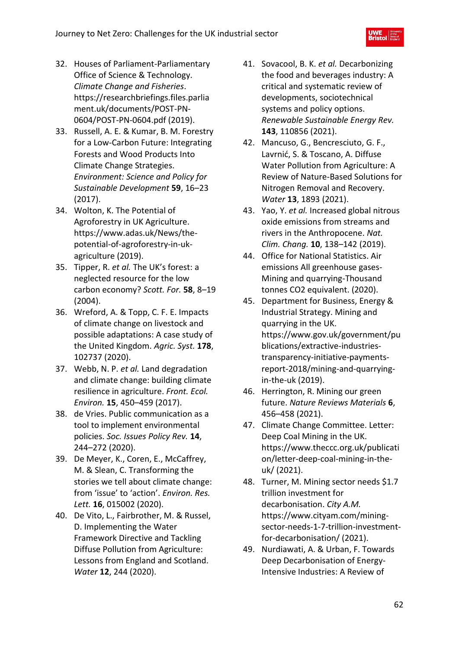- 32. Houses of Parliament-Parliamentary Office of Science & Technology. *Climate Change and Fisheries*. https://researchbriefings.files.parlia ment.uk/documents/POST-PN-0604/POST-PN-0604.pdf (2019).
- 33. Russell, A. E. & Kumar, B. M. Forestry for a Low-Carbon Future: Integrating Forests and Wood Products Into Climate Change Strategies. *Environment: Science and Policy for Sustainable Development* **59**, 16–23 (2017).
- 34. Wolton, K. The Potential of Agroforestry in UK Agriculture. https://www.adas.uk/News/thepotential-of-agroforestry-in-ukagriculture (2019).
- 35. Tipper, R. *et al.* The UK's forest: a neglected resource for the low carbon economy? *Scott. For.* **58**, 8–19 (2004).
- 36. Wreford, A. & Topp, C. F. E. Impacts of climate change on livestock and possible adaptations: A case study of the United Kingdom. *Agric. Syst.* **178**, 102737 (2020).
- 37. Webb, N. P. *et al.* Land degradation and climate change: building climate resilience in agriculture. *Front. Ecol. Environ.* **15**, 450–459 (2017).
- 38. de Vries. Public communication as a tool to implement environmental policies. *Soc. Issues Policy Rev.* **14**, 244–272 (2020).
- 39. De Meyer, K., Coren, E., McCaffrey, M. & Slean, C. Transforming the stories we tell about climate change: from 'issue' to 'action'. *Environ. Res. Lett.* **16**, 015002 (2020).
- 40. De Vito, L., Fairbrother, M. & Russel, D. Implementing the Water Framework Directive and Tackling Diffuse Pollution from Agriculture: Lessons from England and Scotland. *Water* **12**, 244 (2020).
- 41. Sovacool, B. K. *et al.* Decarbonizing the food and beverages industry: A critical and systematic review of developments, sociotechnical systems and policy options. *Renewable Sustainable Energy Rev.* **143**, 110856 (2021).
- 42. Mancuso, G., Bencresciuto, G. F., Lavrnić, S. & Toscano, A. Diffuse Water Pollution from Agriculture: A Review of Nature-Based Solutions for Nitrogen Removal and Recovery. *Water* **13**, 1893 (2021).
- 43. Yao, Y. *et al.* Increased global nitrous oxide emissions from streams and rivers in the Anthropocene. *Nat. Clim. Chang.* **10**, 138–142 (2019).
- 44. Office for National Statistics. Air emissions All greenhouse gases-Mining and quarrying-Thousand tonnes CO2 equivalent. (2020).
- 45. Department for Business, Energy & Industrial Strategy. Mining and quarrying in the UK. https://www.gov.uk/government/pu blications/extractive-industriestransparency-initiative-paymentsreport-2018/mining-and-quarryingin-the-uk (2019).
- 46. Herrington, R. Mining our green future. *Nature Reviews Materials* **6**, 456–458 (2021).
- 47. Climate Change Committee. Letter: Deep Coal Mining in the UK. https://www.theccc.org.uk/publicati on/letter-deep-coal-mining-in-theuk/ (2021).
- 48. Turner, M. Mining sector needs \$1.7 trillion investment for decarbonisation. *City A.M.* https://www.cityam.com/miningsector-needs-1-7-trillion-investmentfor-decarbonisation/ (2021).
- 49. Nurdiawati, A. & Urban, F. Towards Deep Decarbonisation of Energy-Intensive Industries: A Review of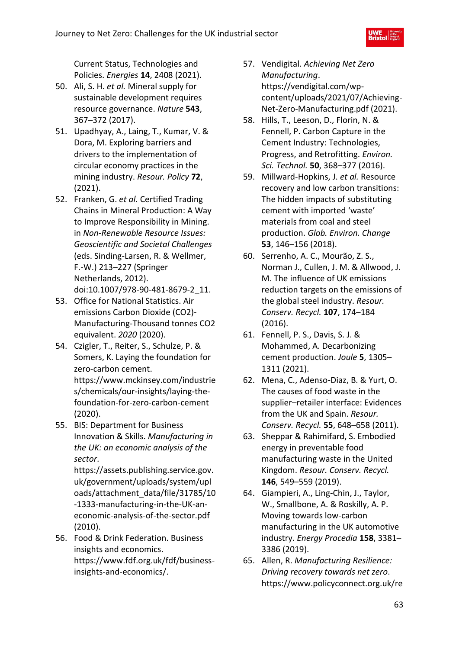Current Status, Technologies and Policies. *Energies* **14**, 2408 (2021).

- 50. Ali, S. H. *et al.* Mineral supply for sustainable development requires resource governance. *Nature* **543**, 367–372 (2017).
- 51. Upadhyay, A., Laing, T., Kumar, V. & Dora, M. Exploring barriers and drivers to the implementation of circular economy practices in the mining industry. *Resour. Policy* **72**, (2021).
- 52. Franken, G. *et al.* Certified Trading Chains in Mineral Production: A Way to Improve Responsibility in Mining. in *Non-Renewable Resource Issues: Geoscientific and Societal Challenges* (eds. Sinding-Larsen, R. & Wellmer, F.-W.) 213–227 (Springer Netherlands, 2012). doi:10.1007/978-90-481-8679-2\_11.
- 53. Office for National Statistics. Air emissions Carbon Dioxide (CO2)- Manufacturing-Thousand tonnes CO2 equivalent. *2020* (2020).
- 54. Czigler, T., Reiter, S., Schulze, P. & Somers, K. Laying the foundation for zero-carbon cement. https://www.mckinsey.com/industrie

s/chemicals/our-insights/laying-thefoundation-for-zero-carbon-cement (2020).

55. BIS: Department for Business Innovation & Skills. *Manufacturing in the UK: an economic analysis of the sector*.

https://assets.publishing.service.gov. uk/government/uploads/system/upl oads/attachment\_data/file/31785/10 -1333-manufacturing-in-the-UK-aneconomic-analysis-of-the-sector.pdf (2010).

56. Food & Drink Federation. Business insights and economics. https://www.fdf.org.uk/fdf/businessinsights-and-economics/.

- 57. Vendigital. *Achieving Net Zero Manufacturing*. https://vendigital.com/wpcontent/uploads/2021/07/Achieving-Net-Zero-Manufacturing.pdf (2021).
- 58. Hills, T., Leeson, D., Florin, N. & Fennell, P. Carbon Capture in the Cement Industry: Technologies, Progress, and Retrofitting. *Environ. Sci. Technol.* **50**, 368–377 (2016).
- 59. Millward-Hopkins, J. *et al.* Resource recovery and low carbon transitions: The hidden impacts of substituting cement with imported 'waste' materials from coal and steel production. *Glob. Environ. Change* **53**, 146–156 (2018).
- 60. Serrenho, A. C., Mourão, Z. S., Norman J., Cullen, J. M. & Allwood, J. M. The influence of UK emissions reduction targets on the emissions of the global steel industry. *Resour. Conserv. Recycl.* **107**, 174–184 (2016).
- 61. Fennell, P. S., Davis, S. J. & Mohammed, A. Decarbonizing cement production. *Joule* **5**, 1305– 1311 (2021).
- 62. Mena, C., Adenso-Diaz, B. & Yurt, O. The causes of food waste in the supplier–retailer interface: Evidences from the UK and Spain. *Resour. Conserv. Recycl.* **55**, 648–658 (2011).
- 63. Sheppar & Rahimifard, S. Embodied energy in preventable food manufacturing waste in the United Kingdom. *Resour. Conserv. Recycl.* **146**, 549–559 (2019).
- 64. Giampieri, A., Ling-Chin, J., Taylor, W., Smallbone, A. & Roskilly, A. P. Moving towards low-carbon manufacturing in the UK automotive industry. *Energy Procedia* **158**, 3381– 3386 (2019).
- 65. Allen, R. *Manufacturing Resilience: Driving recovery towards net zero*. https://www.policyconnect.org.uk/re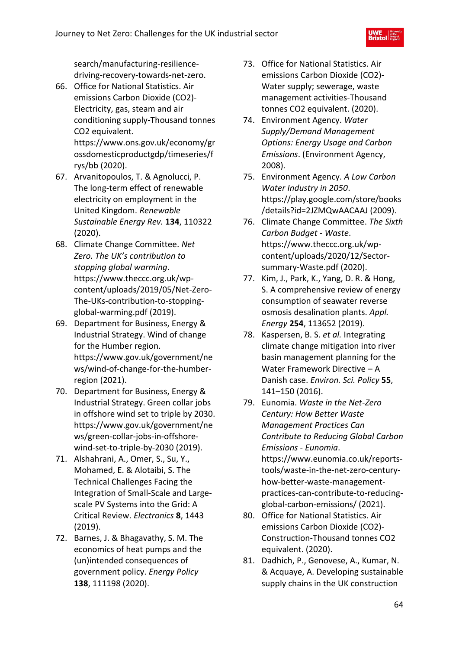- 66. Office for National Statistics. Air emissions Carbon Dioxide (CO2)- Electricity, gas, steam and air conditioning supply-Thousand tonnes CO2 equivalent. https://www.ons.gov.uk/economy/gr ossdomesticproductgdp/timeseries/f rys/bb (2020).
- 67. Arvanitopoulos, T. & Agnolucci, P. The long-term effect of renewable electricity on employment in the United Kingdom. *Renewable Sustainable Energy Rev.* **134**, 110322 (2020).
- 68. Climate Change Committee. *Net Zero. The UK's contribution to stopping global warming*. https://www.theccc.org.uk/wpcontent/uploads/2019/05/Net-Zero-The-UKs-contribution-to-stoppingglobal-warming.pdf (2019).
- 69. Department for Business, Energy & Industrial Strategy. Wind of change for the Humber region. https://www.gov.uk/government/ne ws/wind-of-change-for-the-humberregion (2021).
- 70. Department for Business, Energy & Industrial Strategy. Green collar jobs in offshore wind set to triple by 2030. https://www.gov.uk/government/ne ws/green-collar-jobs-in-offshorewind-set-to-triple-by-2030 (2019).
- 71. Alshahrani, A., Omer, S., Su, Y., Mohamed, E. & Alotaibi, S. The Technical Challenges Facing the Integration of Small-Scale and Largescale PV Systems into the Grid: A Critical Review. *Electronics* **8**, 1443 (2019).
- 72. Barnes, J. & Bhagavathy, S. M. The economics of heat pumps and the (un)intended consequences of government policy. *Energy Policy* **138**, 111198 (2020).
- 73. Office for National Statistics. Air emissions Carbon Dioxide (CO2)- Water supply; sewerage, waste management activities-Thousand tonnes CO2 equivalent. (2020).
- 74. Environment Agency. *Water Supply/Demand Management Options: Energy Usage and Carbon Emissions*. (Environment Agency, 2008).
- 75. Environment Agency. *A Low Carbon Water Industry in 2050*. https://play.google.com/store/books /details?id=2JZMQwAACAAJ (2009).
- 76. Climate Change Committee. *The Sixth Carbon Budget - Waste*. https://www.theccc.org.uk/wpcontent/uploads/2020/12/Sectorsummary-Waste.pdf (2020).
- 77. Kim, J., Park, K., Yang, D. R. & Hong, S. A comprehensive review of energy consumption of seawater reverse osmosis desalination plants. *Appl. Energy* **254**, 113652 (2019).
- 78. Kaspersen, B. S. *et al.* Integrating climate change mitigation into river basin management planning for the Water Framework Directive – A Danish case. *Environ. Sci. Policy* **55**, 141–150 (2016).
- 79. Eunomia. *Waste in the Net-Zero Century: How Better Waste Management Practices Can Contribute to Reducing Global Carbon Emissions - Eunomia*. https://www.eunomia.co.uk/reportstools/waste-in-the-net-zero-centuryhow-better-waste-managementpractices-can-contribute-to-reducingglobal-carbon-emissions/ (2021).
- 80. Office for National Statistics. Air emissions Carbon Dioxide (CO2)- Construction-Thousand tonnes CO2 equivalent. (2020).
- 81. Dadhich, P., Genovese, A., Kumar, N. & Acquaye, A. Developing sustainable supply chains in the UK construction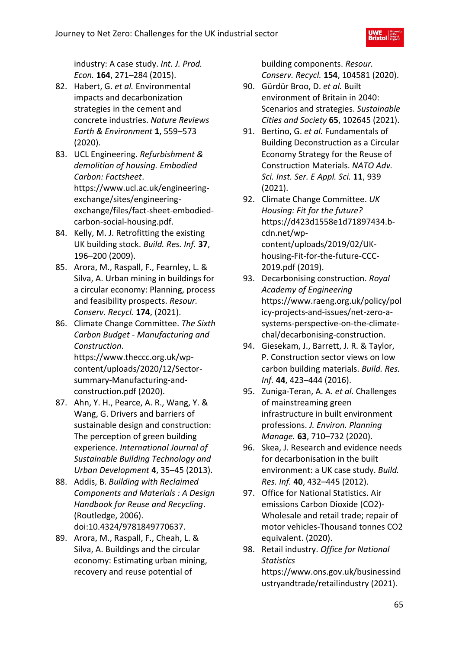industry: A case study. *Int. J. Prod. Econ.* **164**, 271–284 (2015).

- 82. Habert, G. *et al.* Environmental impacts and decarbonization strategies in the cement and concrete industries. *Nature Reviews Earth & Environment* **1**, 559–573 (2020).
- 83. UCL Engineering. *Refurbishment & demolition of housing. Embodied Carbon: Factsheet*. https://www.ucl.ac.uk/engineeringexchange/sites/engineeringexchange/files/fact-sheet-embodiedcarbon-social-housing.pdf.
- 84. Kelly, M. J. Retrofitting the existing UK building stock. *Build. Res. Inf.* **37**, 196–200 (2009).
- 85. Arora, M., Raspall, F., Fearnley, L. & Silva, A. Urban mining in buildings for a circular economy: Planning, process and feasibility prospects. *Resour. Conserv. Recycl.* **174**, (2021).
- 86. Climate Change Committee. *The Sixth Carbon Budget - Manufacturing and Construction*. https://www.theccc.org.uk/wpcontent/uploads/2020/12/Sectorsummary-Manufacturing-andconstruction.pdf (2020).
- 87. Ahn, Y. H., Pearce, A. R., Wang, Y. & Wang, G. Drivers and barriers of sustainable design and construction: The perception of green building experience. *International Journal of Sustainable Building Technology and Urban Development* **4**, 35–45 (2013).
- 88. Addis, B. *Building with Reclaimed Components and Materials : A Design Handbook for Reuse and Recycling*. (Routledge, 2006). doi:10.4324/9781849770637.
- 89. Arora, M., Raspall, F., Cheah, L. & Silva, A. Buildings and the circular economy: Estimating urban mining, recovery and reuse potential of

building components. *Resour. Conserv. Recycl.* **154**, 104581 (2020).

- 90. Gürdür Broo, D. *et al.* Built environment of Britain in 2040: Scenarios and strategies. *Sustainable Cities and Society* **65**, 102645 (2021).
- 91. Bertino, G. *et al.* Fundamentals of Building Deconstruction as a Circular Economy Strategy for the Reuse of Construction Materials. *NATO Adv. Sci. Inst. Ser. E Appl. Sci.* **11**, 939 (2021).
- 92. Climate Change Committee. *UK Housing: Fit for the future?* https://d423d1558e1d71897434.bcdn.net/wpcontent/uploads/2019/02/UKhousing-Fit-for-the-future-CCC-2019.pdf (2019).
- 93. Decarbonising construction. *Royal Academy of Engineering* https://www.raeng.org.uk/policy/pol icy-projects-and-issues/net-zero-asystems-perspective-on-the-climatechal/decarbonising-construction.
- 94. Giesekam, J., Barrett, J. R. & Taylor, P. Construction sector views on low carbon building materials. *Build. Res. Inf.* **44**, 423–444 (2016).
- 95. Zuniga-Teran, A. A. *et al.* Challenges of mainstreaming green infrastructure in built environment professions. *J. Environ. Planning Manage.* **63**, 710–732 (2020).
- 96. Skea, J. Research and evidence needs for decarbonisation in the built environment: a UK case study. *Build. Res. Inf.* **40**, 432–445 (2012).
- 97. Office for National Statistics. Air emissions Carbon Dioxide (CO2)- Wholesale and retail trade; repair of motor vehicles-Thousand tonnes CO2 equivalent. (2020).
- 98. Retail industry. *Office for National Statistics* https://www.ons.gov.uk/businessind ustryandtrade/retailindustry (2021).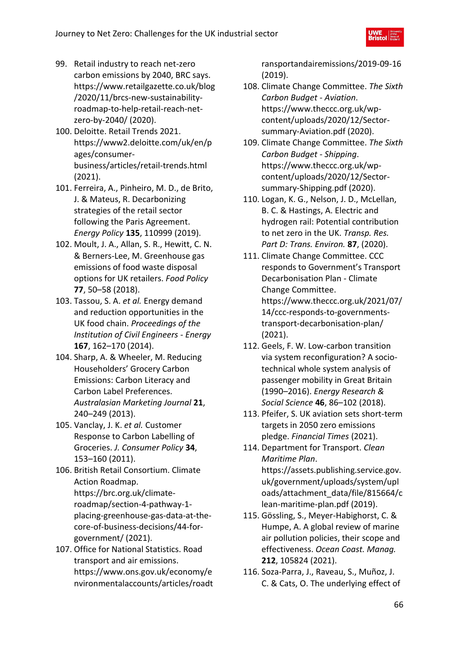- 99. Retail industry to reach net-zero carbon emissions by 2040, BRC says. https://www.retailgazette.co.uk/blog /2020/11/brcs-new-sustainabilityroadmap-to-help-retail-reach-netzero-by-2040/ (2020).
- 100. Deloitte. Retail Trends 2021. https://www2.deloitte.com/uk/en/p ages/consumerbusiness/articles/retail-trends.html (2021).
- 101. Ferreira, A., Pinheiro, M. D., de Brito, J. & Mateus, R. Decarbonizing strategies of the retail sector following the Paris Agreement. *Energy Policy* **135**, 110999 (2019).
- 102. Moult, J. A., Allan, S. R., Hewitt, C. N. & Berners-Lee, M. Greenhouse gas emissions of food waste disposal options for UK retailers. *Food Policy* **77**, 50–58 (2018).
- 103. Tassou, S. A. *et al.* Energy demand and reduction opportunities in the UK food chain. *Proceedings of the Institution of Civil Engineers - Energy* **167**, 162–170 (2014).
- 104. Sharp, A. & Wheeler, M. Reducing Householders' Grocery Carbon Emissions: Carbon Literacy and Carbon Label Preferences. *Australasian Marketing Journal* **21**, 240–249 (2013).
- 105. Vanclay, J. K. *et al.* Customer Response to Carbon Labelling of Groceries. *J. Consumer Policy* **34**, 153–160 (2011).
- 106. British Retail Consortium. Climate Action Roadmap. https://brc.org.uk/climateroadmap/section-4-pathway-1 placing-greenhouse-gas-data-at-thecore-of-business-decisions/44-forgovernment/ (2021).
- 107. Office for National Statistics. Road transport and air emissions. https://www.ons.gov.uk/economy/e nvironmentalaccounts/articles/roadt

ransportandairemissions/2019-09-16 (2019).

- 108. Climate Change Committee. *The Sixth Carbon Budget - Aviation*. https://www.theccc.org.uk/wpcontent/uploads/2020/12/Sectorsummary-Aviation.pdf (2020).
- 109. Climate Change Committee. *The Sixth Carbon Budget - Shipping*. https://www.theccc.org.uk/wpcontent/uploads/2020/12/Sectorsummary-Shipping.pdf (2020).
- 110. Logan, K. G., Nelson, J. D., McLellan, B. C. & Hastings, A. Electric and hydrogen rail: Potential contribution to net zero in the UK. *Transp. Res. Part D: Trans. Environ.* **87**, (2020).
- 111. Climate Change Committee. CCC responds to Government's Transport Decarbonisation Plan - Climate Change Committee. https://www.theccc.org.uk/2021/07/ 14/ccc-responds-to-governmentstransport-decarbonisation-plan/ (2021).
- 112. Geels, F. W. Low-carbon transition via system reconfiguration? A sociotechnical whole system analysis of passenger mobility in Great Britain (1990–2016). *Energy Research & Social Science* **46**, 86–102 (2018).
- 113. Pfeifer, S. UK aviation sets short-term targets in 2050 zero emissions pledge. *Financial Times* (2021).
- 114. Department for Transport. *Clean Maritime Plan*. https://assets.publishing.service.gov. uk/government/uploads/system/upl oads/attachment\_data/file/815664/c lean-maritime-plan.pdf (2019).
- 115. Gössling, S., Meyer-Habighorst, C. & Humpe, A. A global review of marine air pollution policies, their scope and effectiveness. *Ocean Coast. Manag.* **212**, 105824 (2021).
- 116. Soza-Parra, J., Raveau, S., Muñoz, J. C. & Cats, O. The underlying effect of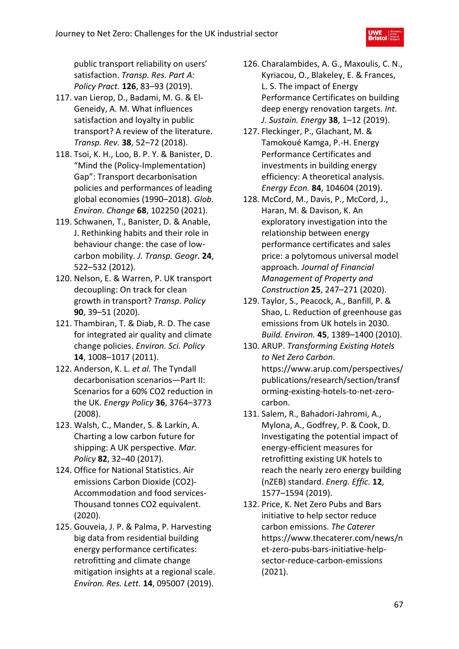public transport reliability on users' satisfaction. *Transp. Res. Part A: Policy Pract.* **126**, 83–93 (2019).

- 117. van Lierop, D., Badami, M. G. & El-Geneidy, A. M. What influences satisfaction and loyalty in public transport? A review of the literature. *Transp. Rev.* **38**, 52–72 (2018).
- 118. Tsoi, K. H., Loo, B. P. Y. & Banister, D. "Mind the (Policy-Implementation) Gap": Transport decarbonisation policies and performances of leading global economies (1990–2018). *Glob. Environ. Change* **68**, 102250 (2021).
- 119. Schwanen, T., Banister, D. & Anable, J. Rethinking habits and their role in behaviour change: the case of lowcarbon mobility. *J. Transp. Geogr.* **24**, 522–532 (2012).
- 120. Nelson, E. & Warren, P. UK transport decoupling: On track for clean growth in transport? *Transp. Policy* **90**, 39–51 (2020).
- 121. Thambiran, T. & Diab, R. D. The case for integrated air quality and climate change policies. *Environ. Sci. Policy* **14**, 1008–1017 (2011).
- 122. Anderson, K. L. *et al.* The Tyndall decarbonisation scenarios—Part II: Scenarios for a 60% CO2 reduction in the UK. *Energy Policy* **36**, 3764–3773 (2008).
- 123. Walsh, C., Mander, S. & Larkin, A. Charting a low carbon future for shipping: A UK perspective. *Mar. Policy* **82**, 32–40 (2017).
- 124. Office for National Statistics. Air emissions Carbon Dioxide (CO2)- Accommodation and food services-Thousand tonnes CO2 equivalent. (2020).
- 125. Gouveia, J. P. & Palma, P. Harvesting big data from residential building energy performance certificates: retrofitting and climate change mitigation insights at a regional scale. *Environ. Res. Lett.* **14**, 095007 (2019).
- 126. Charalambides, A. G., Maxoulis, C. N., Kyriacou, O., Blakeley, E. & Frances, L. S. The impact of Energy Performance Certificates on building deep energy renovation targets. *Int. J. Sustain. Energy* **38**, 1–12 (2019).
- 127. Fleckinger, P., Glachant, M. & Tamokoué Kamga, P.-H. Energy Performance Certificates and investments in building energy efficiency: A theoretical analysis. *Energy Econ.* **84**, 104604 (2019).
- 128. McCord, M., Davis, P., McCord, J., Haran, M. & Davison, K. An exploratory investigation into the relationship between energy performance certificates and sales price: a polytomous universal model approach. *Journal of Financial Management of Property and Construction* **25**, 247–271 (2020).
- 129. Taylor, S., Peacock, A., Banfill, P. & Shao, L. Reduction of greenhouse gas emissions from UK hotels in 2030. *Build. Environ.* **45**, 1389–1400 (2010).
- 130. ARUP. *Transforming Existing Hotels to Net Zero Carbon*. https://www.arup.com/perspectives/ publications/research/section/transf orming-existing-hotels-to-net-zerocarbon.
- 131. Salem, R., Bahadori-Jahromi, A., Mylona, A., Godfrey, P. & Cook, D. Investigating the potential impact of energy-efficient measures for retrofitting existing UK hotels to reach the nearly zero energy building (nZEB) standard. *Energ. Effic.* **12**, 1577–1594 (2019).
- 132. Price, K. Net Zero Pubs and Bars initiative to help sector reduce carbon emissions. *The Caterer* https://www.thecaterer.com/news/n et-zero-pubs-bars-initiative-helpsector-reduce-carbon-emissions (2021).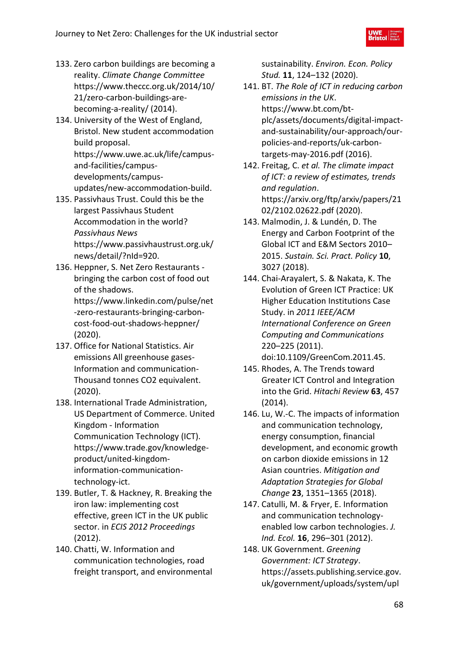- 133. Zero carbon buildings are becoming a reality. *Climate Change Committee* https://www.theccc.org.uk/2014/10/ 21/zero-carbon-buildings-arebecoming-a-reality/ (2014).
- 134. University of the West of England, Bristol. New student accommodation build proposal. https://www.uwe.ac.uk/life/campusand-facilities/campusdevelopments/campusupdates/new-accommodation-build.
- 135. Passivhaus Trust. Could this be the largest Passivhaus Student Accommodation in the world? *Passivhaus News* https://www.passivhaustrust.org.uk/ news/detail/?nId=920.
- 136. Heppner, S. Net Zero Restaurants bringing the carbon cost of food out of the shadows. https://www.linkedin.com/pulse/net -zero-restaurants-bringing-carboncost-food-out-shadows-heppner/ (2020).
- 137. Office for National Statistics. Air emissions All greenhouse gases-Information and communication-Thousand tonnes CO2 equivalent. (2020).
- 138. International Trade Administration, US Department of Commerce. United Kingdom - Information Communication Technology (ICT). https://www.trade.gov/knowledgeproduct/united-kingdominformation-communicationtechnology-ict.
- 139. Butler, T. & Hackney, R. Breaking the iron law: implementing cost effective, green ICT in the UK public sector. in *ECIS 2012 Proceedings* (2012).
- 140. Chatti, W. Information and communication technologies, road freight transport, and environmental

sustainability. *Environ. Econ. Policy Stud.* **11**, 124–132 (2020).

- 141. BT. *The Role of ICT in reducing carbon emissions in the UK*. https://www.bt.com/btplc/assets/documents/digital-impactand-sustainability/our-approach/ourpolicies-and-reports/uk-carbontargets-may-2016.pdf (2016).
- 142. Freitag, C. *et al. The climate impact of ICT: a review of estimates, trends and regulation*. https://arxiv.org/ftp/arxiv/papers/21 02/2102.02622.pdf (2020).
- 143. Malmodin, J. & Lundén, D. The Energy and Carbon Footprint of the Global ICT and E&M Sectors 2010– 2015. *Sustain. Sci. Pract. Policy* **10**, 3027 (2018).
- 144. Chai-Arayalert, S. & Nakata, K. The Evolution of Green ICT Practice: UK Higher Education Institutions Case Study. in *2011 IEEE/ACM International Conference on Green Computing and Communications* 220–225 (2011). doi:10.1109/GreenCom.2011.45.
- 145. Rhodes, A. The Trends toward Greater ICT Control and Integration into the Grid. *Hitachi Review* **63**, 457 (2014).
- 146. Lu, W.-C. The impacts of information and communication technology, energy consumption, financial development, and economic growth on carbon dioxide emissions in 12 Asian countries. *Mitigation and Adaptation Strategies for Global Change* **23**, 1351–1365 (2018).
- 147. Catulli, M. & Fryer, E. Information and communication technologyenabled low carbon technologies. *J. Ind. Ecol.* **16**, 296–301 (2012).
- 148. UK Government. *Greening Government: ICT Strategy*. https://assets.publishing.service.gov. uk/government/uploads/system/upl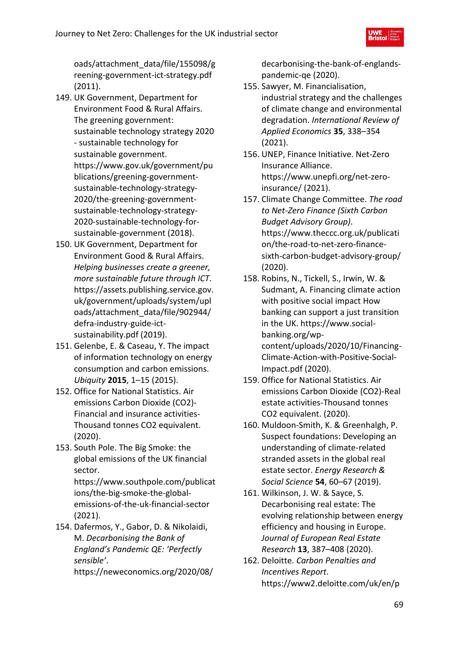oads/attachment\_data/file/155098/g reening-government-ict-strategy.pdf (2011).

- 149. UK Government, Department for Environment Food & Rural Affairs. The greening government: sustainable technology strategy 2020 - sustainable technology for sustainable government. https://www.gov.uk/government/pu blications/greening-governmentsustainable-technology-strategy-2020/the-greening-governmentsustainable-technology-strategy-2020-sustainable-technology-forsustainable-government (2018).
- 150. UK Government, Department for Environment Good & Rural Affairs. *Helping businesses create a greener, more sustainable future through ICT*. https://assets.publishing.service.gov. uk/government/uploads/system/upl oads/attachment\_data/file/902944/ defra-industry-guide-ictsustainability.pdf (2019).
- 151. Gelenbe, E. & Caseau, Y. The impact of information technology on energy consumption and carbon emissions. *Ubiquity* **2015**, 1–15 (2015).
- 152. Office for National Statistics. Air emissions Carbon Dioxide (CO2)- Financial and insurance activities-Thousand tonnes CO2 equivalent. (2020).
- 153. South Pole. The Big Smoke: the global emissions of the UK financial sector.

https://www.southpole.com/publicat ions/the-big-smoke-the-globalemissions-of-the-uk-financial-sector (2021).

154. Dafermos, Y., Gabor, D. & Nikolaidi, M. *Decarbonising the Bank of England's Pandemic QE: 'Perfectly sensible'*.

https://neweconomics.org/2020/08/

decarbonising-the-bank-of-englandspandemic-qe (2020).

- 155. Sawyer, M. Financialisation, industrial strategy and the challenges of climate change and environmental degradation. *International Review of Applied Economics* **35**, 338–354 (2021).
- 156. UNEP, Finance Initiative. Net-Zero Insurance Alliance. https://www.unepfi.org/net-zeroinsurance/ (2021).
- 157. Climate Change Committee. *The road to Net-Zero Finance (Sixth Carbon Budget Advisory Group)*. https://www.theccc.org.uk/publicati on/the-road-to-net-zero-financesixth-carbon-budget-advisory-group/ (2020).
- 158. Robins, N., Tickell, S., Irwin, W. & Sudmant, A. Financing climate action with positive social impact How banking can support a just transition in the UK. https://www.socialbanking.org/wpcontent/uploads/2020/10/Financing-Climate-Action-with-Positive-Social-Impact.pdf (2020).
- 159. Office for National Statistics. Air emissions Carbon Dioxide (CO2)-Real estate activities-Thousand tonnes CO2 equivalent. (2020).
- 160. Muldoon-Smith, K. & Greenhalgh, P. Suspect foundations: Developing an understanding of climate-related stranded assets in the global real estate sector. *Energy Research & Social Science* **54**, 60–67 (2019).
- 161. Wilkinson, J. W. & Sayce, S. Decarbonising real estate: The evolving relationship between energy efficiency and housing in Europe. *Journal of European Real Estate Research* **13**, 387–408 (2020).
- 162. Deloitte. *Carbon Penalties and Incentives Report*. https://www2.deloitte.com/uk/en/p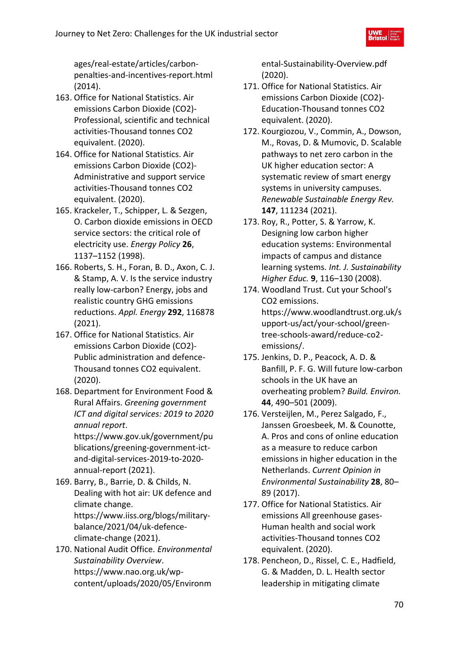ages/real-estate/articles/carbonpenalties-and-incentives-report.html (2014).

- 163. Office for National Statistics. Air emissions Carbon Dioxide (CO2)- Professional, scientific and technical activities-Thousand tonnes CO2 equivalent. (2020).
- 164. Office for National Statistics. Air emissions Carbon Dioxide (CO2)- Administrative and support service activities-Thousand tonnes CO2 equivalent. (2020).
- 165. Krackeler, T., Schipper, L. & Sezgen, O. Carbon dioxide emissions in OECD service sectors: the critical role of electricity use. *Energy Policy* **26**, 1137–1152 (1998).
- 166. Roberts, S. H., Foran, B. D., Axon, C. J. & Stamp, A. V. Is the service industry really low-carbon? Energy, jobs and realistic country GHG emissions reductions. *Appl. Energy* **292**, 116878 (2021).
- 167. Office for National Statistics. Air emissions Carbon Dioxide (CO2)- Public administration and defence-Thousand tonnes CO2 equivalent. (2020).
- 168. Department for Environment Food & Rural Affairs. *Greening government ICT and digital services: 2019 to 2020 annual report*.

https://www.gov.uk/government/pu blications/greening-government-ictand-digital-services-2019-to-2020 annual-report (2021).

- 169. Barry, B., Barrie, D. & Childs, N. Dealing with hot air: UK defence and climate change. https://www.iiss.org/blogs/militarybalance/2021/04/uk-defenceclimate-change (2021).
- 170. National Audit Office. *Environmental Sustainability Overview*. https://www.nao.org.uk/wpcontent/uploads/2020/05/Environm

ental-Sustainability-Overview.pdf (2020).

- 171. Office for National Statistics. Air emissions Carbon Dioxide (CO2)- Education-Thousand tonnes CO2 equivalent. (2020).
- 172. Kourgiozou, V., Commin, A., Dowson, M., Rovas, D. & Mumovic, D. Scalable pathways to net zero carbon in the UK higher education sector: A systematic review of smart energy systems in university campuses. *Renewable Sustainable Energy Rev.* **147**, 111234 (2021).
- 173. Roy, R., Potter, S. & Yarrow, K. Designing low carbon higher education systems: Environmental impacts of campus and distance learning systems. *Int. J. Sustainability Higher Educ.* **9**, 116–130 (2008).
- 174. Woodland Trust. Cut your School's CO2 emissions. https://www.woodlandtrust.org.uk/s upport-us/act/your-school/greentree-schools-award/reduce-co2 emissions/.
- 175. Jenkins, D. P., Peacock, A. D. & Banfill, P. F. G. Will future low-carbon schools in the UK have an overheating problem? *Build. Environ.* **44**, 490–501 (2009).
- 176. Versteijlen, M., Perez Salgado, F., Janssen Groesbeek, M. & Counotte, A. Pros and cons of online education as a measure to reduce carbon emissions in higher education in the Netherlands. *Current Opinion in Environmental Sustainability* **28**, 80– 89 (2017).
- 177. Office for National Statistics. Air emissions All greenhouse gases-Human health and social work activities-Thousand tonnes CO2 equivalent. (2020).
- 178. Pencheon, D., Rissel, C. E., Hadfield, G. & Madden, D. L. Health sector leadership in mitigating climate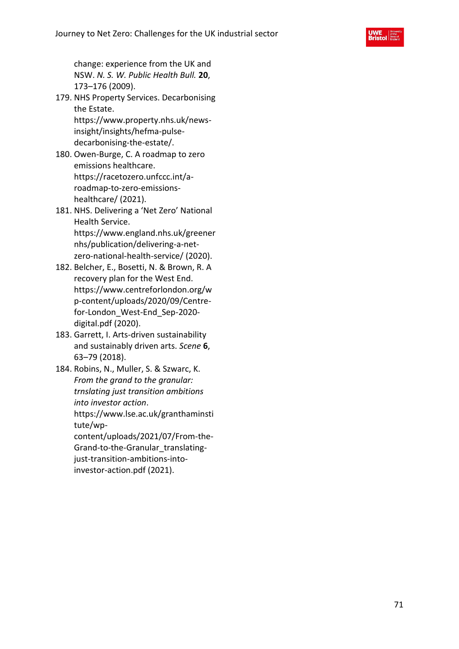

change: experience from the UK and NSW. *N. S. W. Public Health Bull.* **20**, 173–176 (2009).

- 179. NHS Property Services. Decarbonising the Estate. https://www.property.nhs.uk/newsinsight/insights/hefma-pulsedecarbonising-the-estate/.
- 180. Owen-Burge, C. A roadmap to zero emissions healthcare. https://racetozero.unfccc.int/aroadmap-to-zero-emissionshealthcare/ (2021).
- 181. NHS. Delivering a 'Net Zero' National Health Service. https://www.england.nhs.uk/greener nhs/publication/delivering-a-netzero-national-health-service/ (2020).
- 182. Belcher, E., Bosetti, N. & Brown, R. A recovery plan for the West End. https://www.centreforlondon.org/w p-content/uploads/2020/09/Centrefor-London\_West-End\_Sep-2020 digital.pdf (2020).
- 183. Garrett, I. Arts-driven sustainability and sustainably driven arts. *Scene* **6**, 63–79 (2018).
- 184. Robins, N., Muller, S. & Szwarc, K. *From the grand to the granular: trnslating just transition ambitions into investor action*. https://www.lse.ac.uk/granthaminsti tute/wpcontent/uploads/2021/07/From-the-Grand-to-the-Granular\_translatingjust-transition-ambitions-into-

investor-action.pdf (2021).